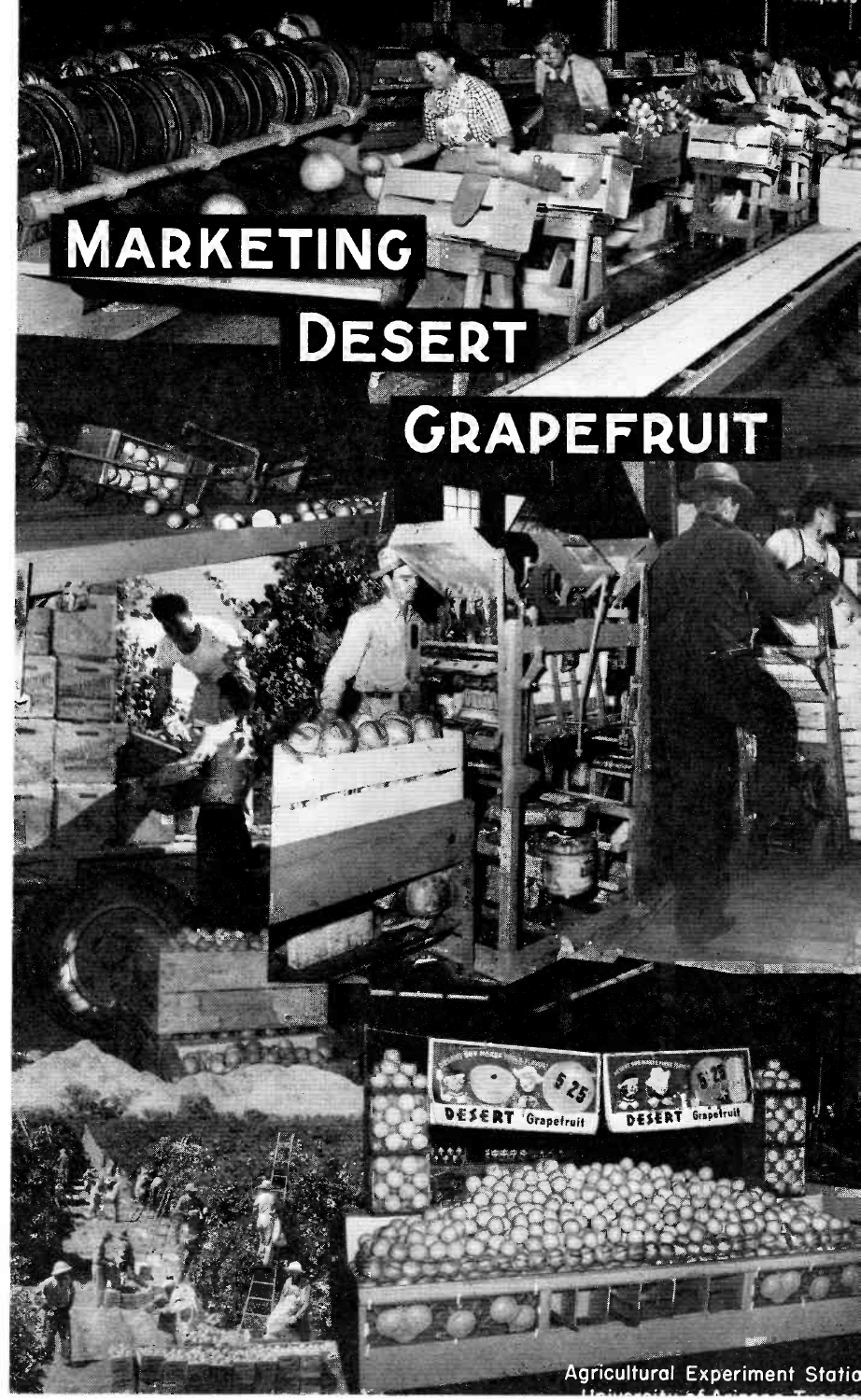# MARKETING DESERT







**Agricultural Experiment Statio**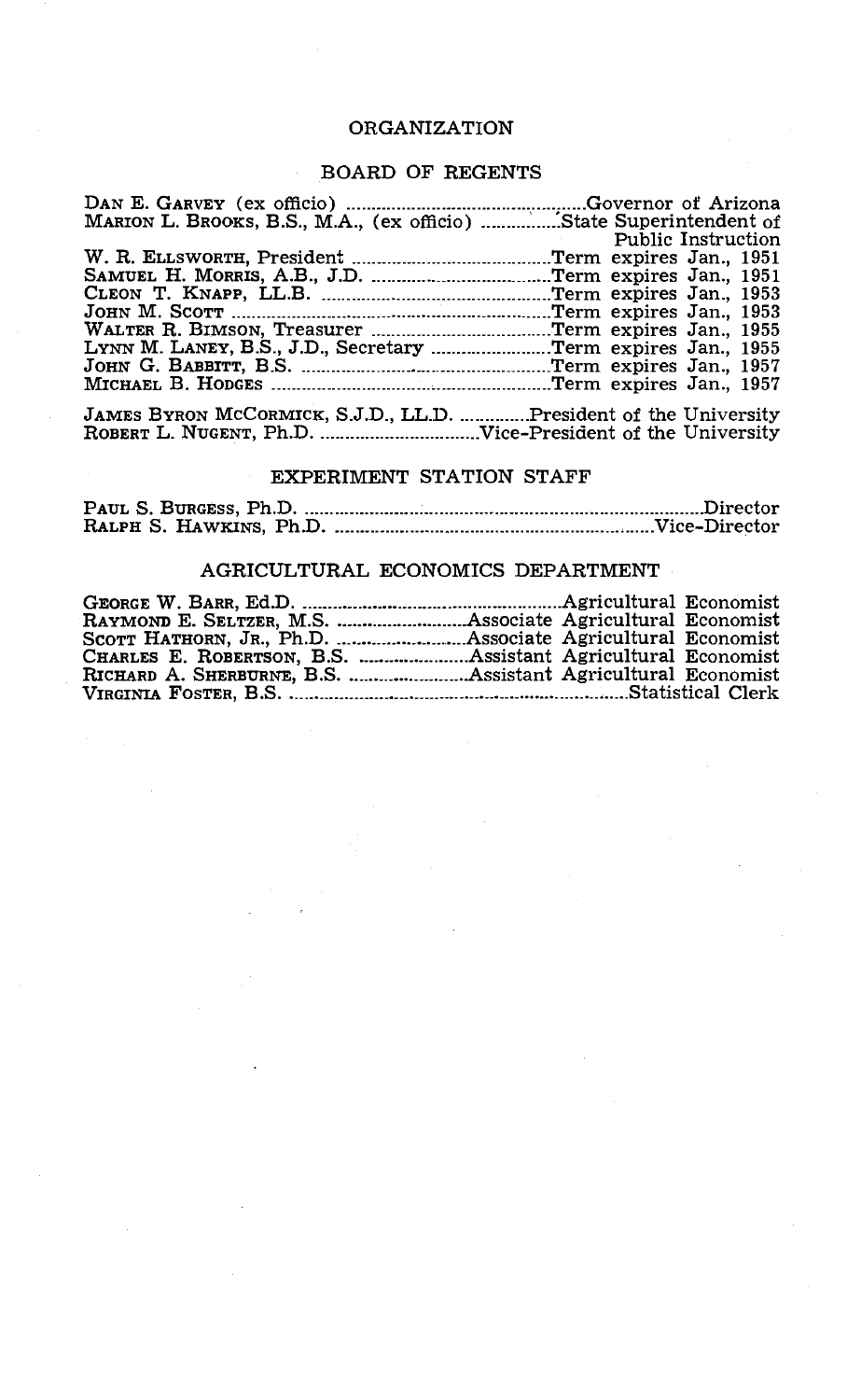## ORGANIZATION

## BOARD OF REGENTS

|                                                                  | Public Instruction |
|------------------------------------------------------------------|--------------------|
|                                                                  |                    |
|                                                                  |                    |
|                                                                  |                    |
|                                                                  |                    |
|                                                                  |                    |
|                                                                  |                    |
|                                                                  |                    |
|                                                                  |                    |
| JAMES BYRON MCCORMICK, S.J.D., LL.D. President of the University |                    |

ROBERT L. NUGENT, Ph.D. <u>Manual Museum</u> Vice-President of the University

# EXPERIMENT STATION STAFF

## AGRICULTURAL ECONOMICS DEPARTMENT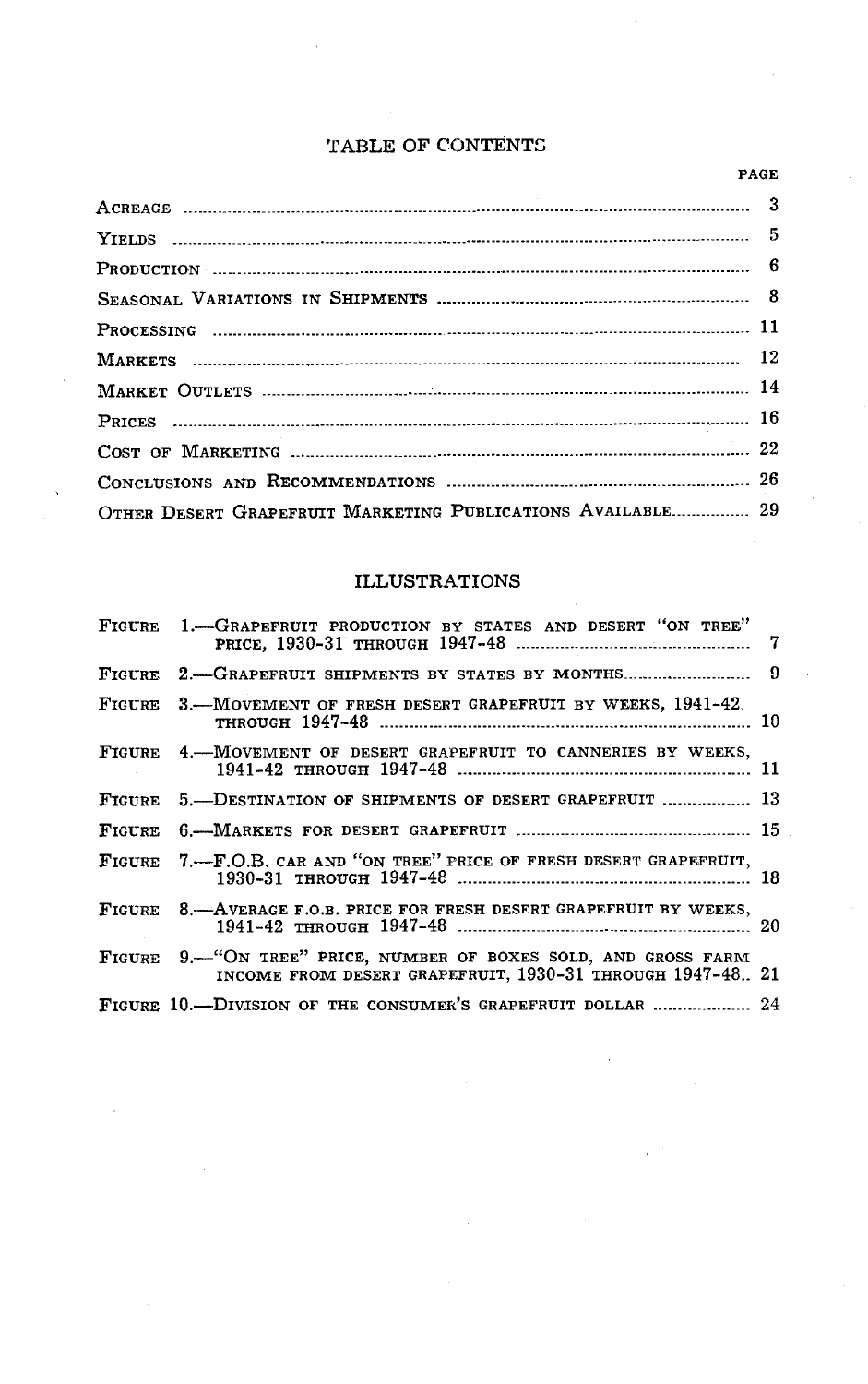## TABLE OF CONTENTS

| OTHER DESERT GRAPEFRUIT MARKETING PUBLICATIONS AVAILABLE 29 |  |
|-------------------------------------------------------------|--|

# ILLUSTRATIONS

| FIGURE 1.-GRAPEFRUIT PRODUCTION BY STATES AND DESERT "ON TREE"                                                                 |  |
|--------------------------------------------------------------------------------------------------------------------------------|--|
|                                                                                                                                |  |
| FIGURE 3.—MOVEMENT OF FRESH DESERT GRAPEFRUIT BY WEEKS, 1941-42.                                                               |  |
| FIGURE 4.-MOVEMENT OF DESERT GRAPEFRUIT TO CANNERIES BY WEEKS,                                                                 |  |
| FIGURE 5.-DESTINATION OF SHIPMENTS OF DESERT GRAPEFRUIT  13                                                                    |  |
|                                                                                                                                |  |
| FIGURE 7.-F.O.B. CAR AND "ON TREE" PRICE OF FRESH DESERT GRAPEFRUIT,                                                           |  |
| FIGURE 8.-AVERAGE F.O.B. PRICE FOR FRESH DESERT GRAPEFRUIT BY WEEKS,                                                           |  |
| FIGURE 9. "ON TREE" PRICE, NUMBER OF BOXES SOLD, AND GROSS FARM<br>INCOME FROM DESERT GRAPEFRUIT, 1930-31 THROUGH 1947-48., 21 |  |
| FIGURE 10.—DIVISION OF THE CONSUMER'S GRAPEFRUIT DOLLAR  24                                                                    |  |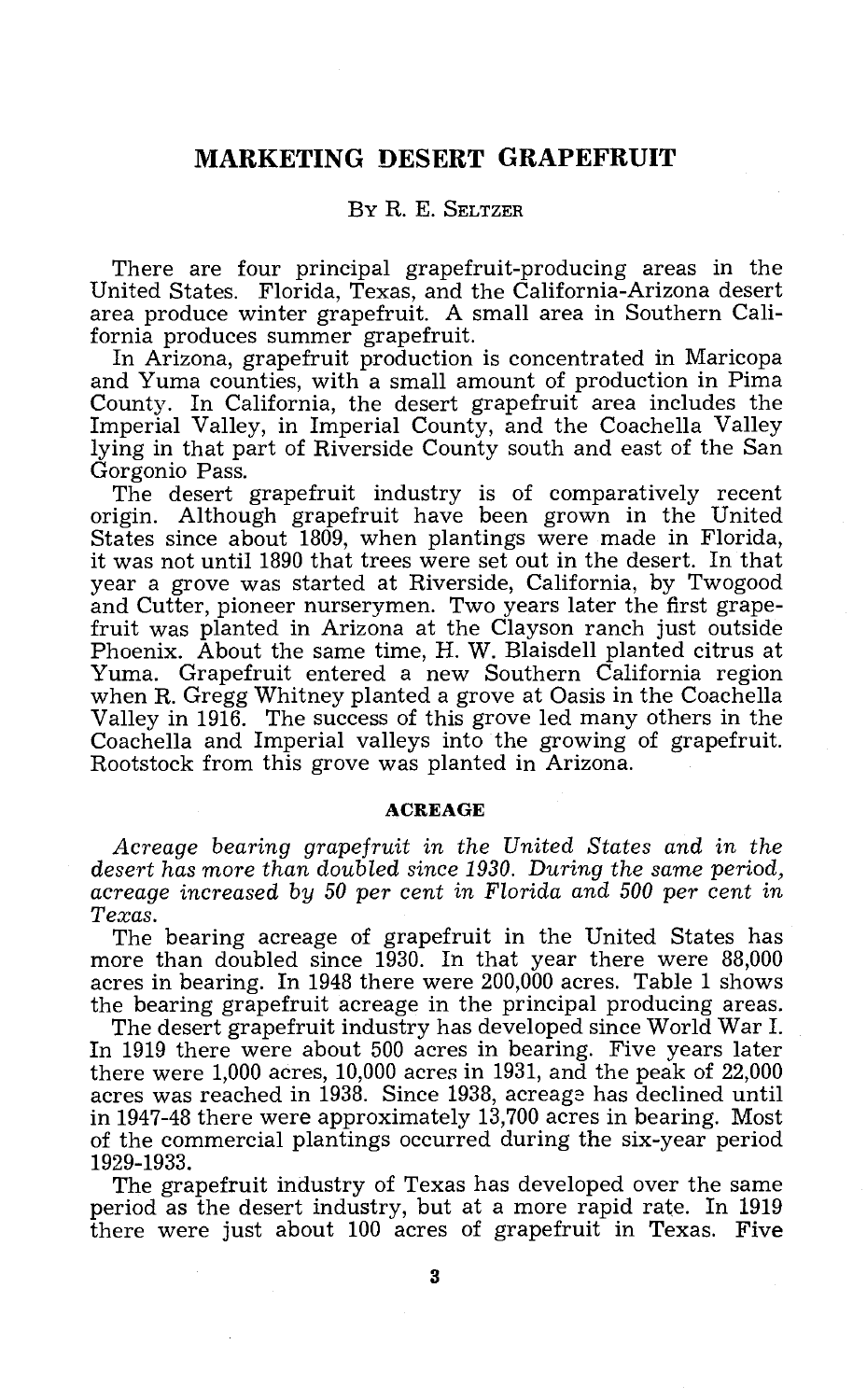# MARKETING DESERT GRAPEFRUIT

# BY R. E. SELTZER

There are four principal grapefruit-producing areas in the United States. Florida, Texas, and the California-Arizona desert area produce winter grapefruit. A small area in Southern California produces summer grapefruit.

In Arizona, grapefruit production is concentrated in Maricopa<br>and Yuma counties, with a small amount of production in Pima<br>County. In California, the desert grapefruit area includes the Imperial Valley, in Imperial County, and the Coachella Valley lying in that part of Riverside County south and east of the San Gorgonio Pass. The desert grapefruit industry is of comparatively recent

origin. Although grapefruit have been grown in the United States since about 1809, when plantings were made in Florida, it was not until 1890 that trees were set out in the desert. In that year a grove was started at Riverside, California, by Twogood and Cutter, pioneer nurserymen. Two years later the first grape-<br>fruit was planted in Arizona at the Clayson ranch just outside<br>Phoenix. About the same time, H. W. Blaisdell planted citrus at<br>Yuma. Grapefruit entered a new

### ACREAGE

Acreage bearing grapefruit in the United States and in the desert has more than doubled since 1930. During the same period, acreage increased by 50 per cent in Florida and 500 per cent in Texas.<br>The bearing acreage of grapefruit in the United States has

more than doubled since  $1\overline{9}30$ . In that year there were 88,000 acres in bearing. In 1948 there were 200,000 acres. Table 1 shows

The desert grapefruit industry has developed since World War I.<br>In 1919 there were about 500 acres in bearing. Five years later there were 1,000 acres, 10,000 acres in 1931, and the peak of 22,000 acres was reached in 1938. Since 1938, acreage has declined until of the commercial plantings occurred during the six-year period 1929 -1933.

The grapefruit industry of Texas has developed over the same period as the desert industry, but at a more rapid rate. In 1919 there were just about 100 acres of grapefruit in Texas. Five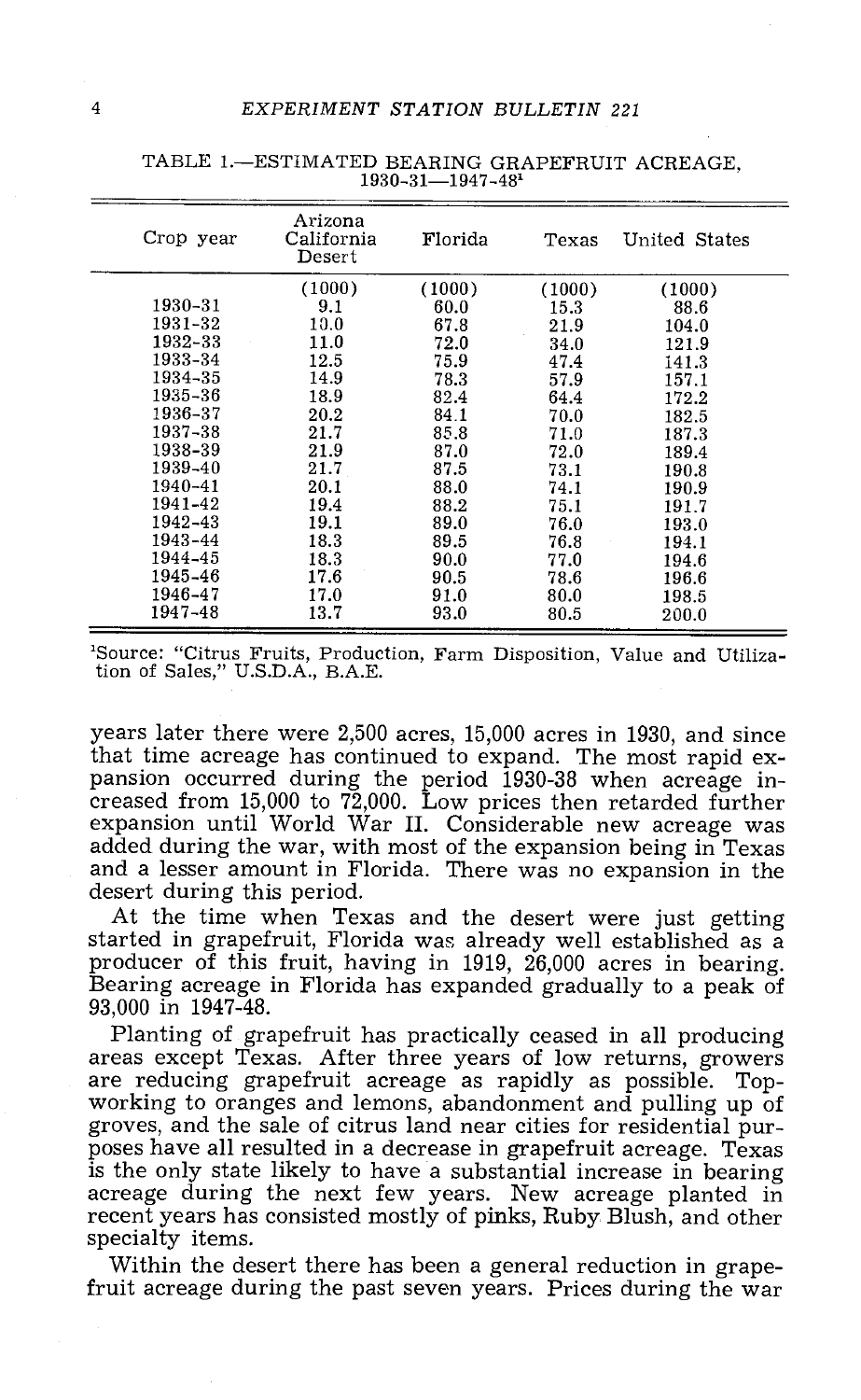| Crop year | Arizona<br>California<br>Desert | Florida | Texas  | United States |
|-----------|---------------------------------|---------|--------|---------------|
|           | (1000)                          | (1000)  | (1000) | (1000)        |
| 1930-31   | 9.1                             | 60.0    | 15.3   | 88.6          |
| 1931-32   | 10.0                            | 67.8    | 21.9   | 104.0         |
| 1932-33   | 11.0                            | 72.0    | 34.0   | 121.9         |
| 1933-34   | 12.5                            | 75.9    | 47.4   | 141.3         |
| 1934-35   | 14.9                            | 78.3    | 57.9   | 157.1         |
| 1935-36   | 18.9                            | 82.4    | 64.4   | 172.2         |
| 1936-37   | 20.2                            | 84.1    | 70.0   | 182.5         |
| 1937-38   | 21.7                            | 85.8    | 71.0   | 187.3         |
| 1938-39   | 21.9                            | 87.0    | 72.0   | 189.4         |
| 1939-40   | 21.7                            | 87.5    | 73.1   | 190.8         |
| 1940-41   | 20.1                            | 88.0    | 74.1   | 190.9         |
| 1941-42   | 19.4                            | 88.2    | 75.1   | 191.7         |
| 1942-43   | 19.1                            | 89.0    | 76.0   | 193.0         |
| 1943-44   | 18.3                            | 89.5    | 76.8   | 194.1         |
| 1944-45   | 18.3                            | 90.0    | 77.0   | 194.6         |
| 1945-46   | 17.6                            | 90.5    | 78.6   | 196.6         |
| 1946-47   | 17.0                            | 91.0    | 80.0   | 198.5         |
| 1947-48   | 13.7                            | 93.0    | 80.5   | 200.0         |

TABLE 1.-ESTIMATED BEARING GRAPEFRUIT ACREAGE, 1930-31-1947-481

'Source: "Citrus Fruits, Production, Farm Disposition, Value and Utilization of Sales," U.S.D.A., B.A.E.

years later there were 2,500 acres, 15,000 acres in 1930, and since pansion occurred during the period 1930-38 when acreage in-<br>creased from 15,000 to 72,000. Low prices then retarded further<br>expansion until World War II. Considerable new acreage was<br>added during the war, with most of the

started in grapefruit, Florida was already well established as a producer of this fruit, having in 1919, 26,000 acres in bearing. Bearing acreage in Florida has expanded gradually to a peak of 93,000 in 1947 -48.

Planting of grapefruit has practically ceased in all producing are reducing grapefruit acreage as rapidly as possible. Top-<br>working to oranges and lemons, abandonment and pulling up of<br>groves, and the sale of citrus land near cities for residential pur-<br>poses have all resulted in a de is the only state likely to have a substantial increase in bearing acreage during the next few years. New acreage planted in recent years has consisted mostly of pinks, Ruby Blush, and other specialty items.

Within the desert there has been a general reduction in grape- fruit acreage during the past seven years. Prices during the war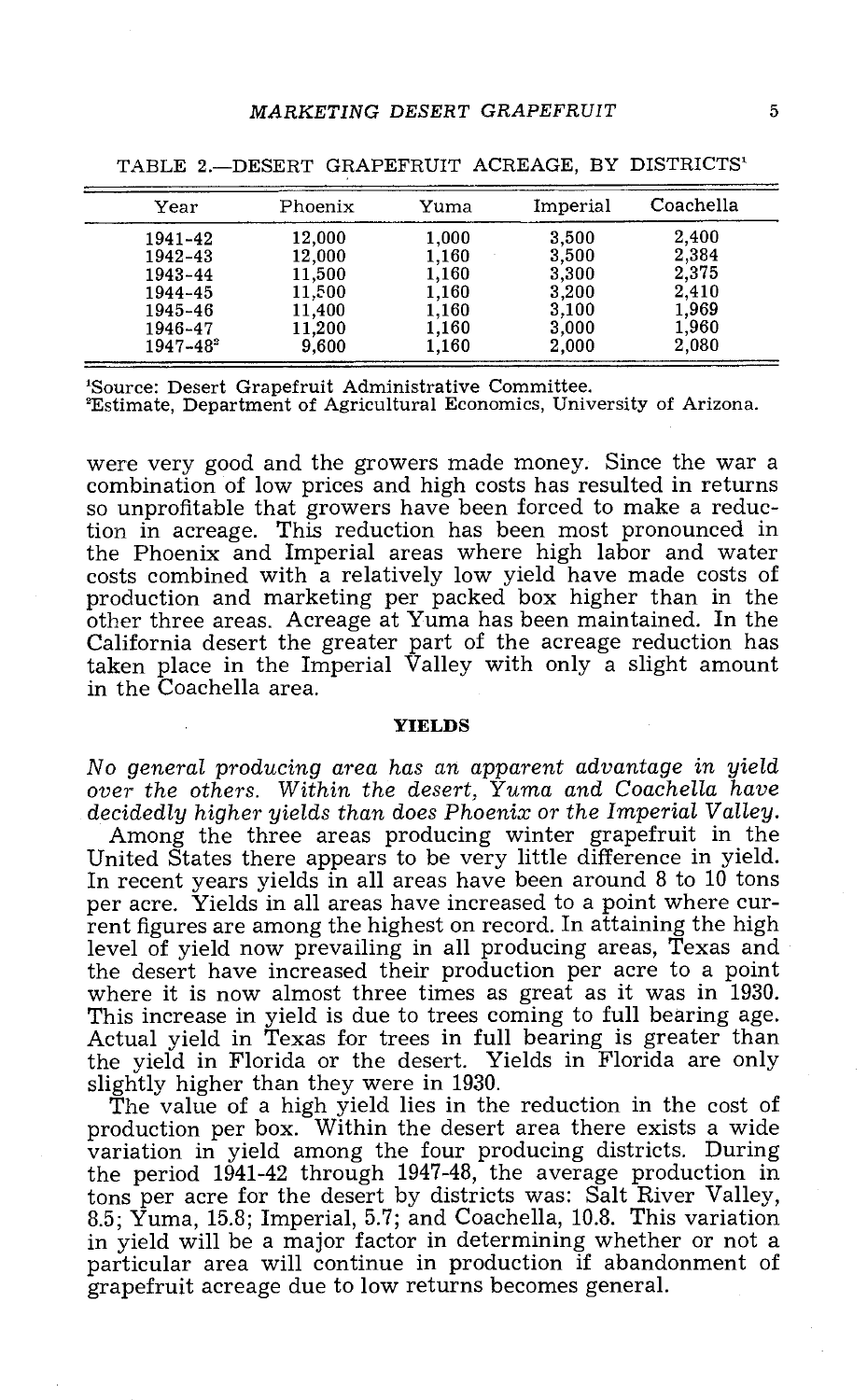| Year          | Phoenix | Yuma  | Imperial | Coachella |
|---------------|---------|-------|----------|-----------|
| 1941-42       | 12.000  | 1.000 | 3.500    | 2.400     |
| 1942-43       | 12,000  | 1.160 | 3,500    | 2,384     |
| 1943-44       | 11,500  | 1.160 | 3.300    | 2,375     |
| 1944-45       | 11.500  | 1.160 | 3.200    | 2.410     |
| 1945-46       | 11,400  | 1,160 | 3.100    | 1.969     |
| 1946-47       | 11.200  | 1.160 | 3,000    | 1,960     |
| $1947 - 48^2$ | 9,600   | 1,160 | 2,000    | 2.080     |

TABLE 2.- DESERT GRAPEFRUIT ACREAGE, BY DISTRICTS<sup>1</sup>

'Source: Desert Grapefruit Administrative Committee.

'Estimate, Department of Agricultural Economics, University of Arizona.

were very good and the growers made money. Since the war a combination of low prices and high costs has resulted in returns so unprofitable that growers have been forced to make a reduction in acreage. This reduction has been most pronounced in the Phoenix and Imperial areas where high labor and water<br>costs combined with a relatively low yield have made costs of<br>production and marketing per packed box higher than in the<br>other three areas. Acreage at Yuma has been taken place in the Imperial Valley with only a slight amount in the Coachella area.

#### YIELDS

No general producing area has an apparent advantage in yield over the others. Within the desert, Yuma and Coachella have

Among the three areas producing winter grapefruit in the United States there appears to be very little difference in yield. In recent years yields in all areas have been around 8 to 10 tons per acre. Yields in all areas ha rent figures are among the highest on record. In attaining the high level of yield now prevailing in all producing areas, Texas and the desert have increased their production per acre to a point where it is now almost three times as great as it was in 1930.<br>This increase in yield is due to trees coming to full bearing age.<br>Actual yield in Texas for trees in full bearing is greater than the yield in Florida or the desert. Yields in Florida are only slightly higher than they were in 1930.

The value of a high yield lies in the reduction in the cost of production per box. Within the desert area there exists a wide variation in yield among the four producing districts. During the period 1941-42 through 1947-48, the average production in tons per acre for the desert by districts was: Salt River Valley. 8.5; Yuma, 15.8; Imperial, 5.7; and Coachella, 10.8. This variation in yield will be a major factor in determining whether or not a particular area will continue in production if abandonment of grapefruit acreage due to low returns becomes general.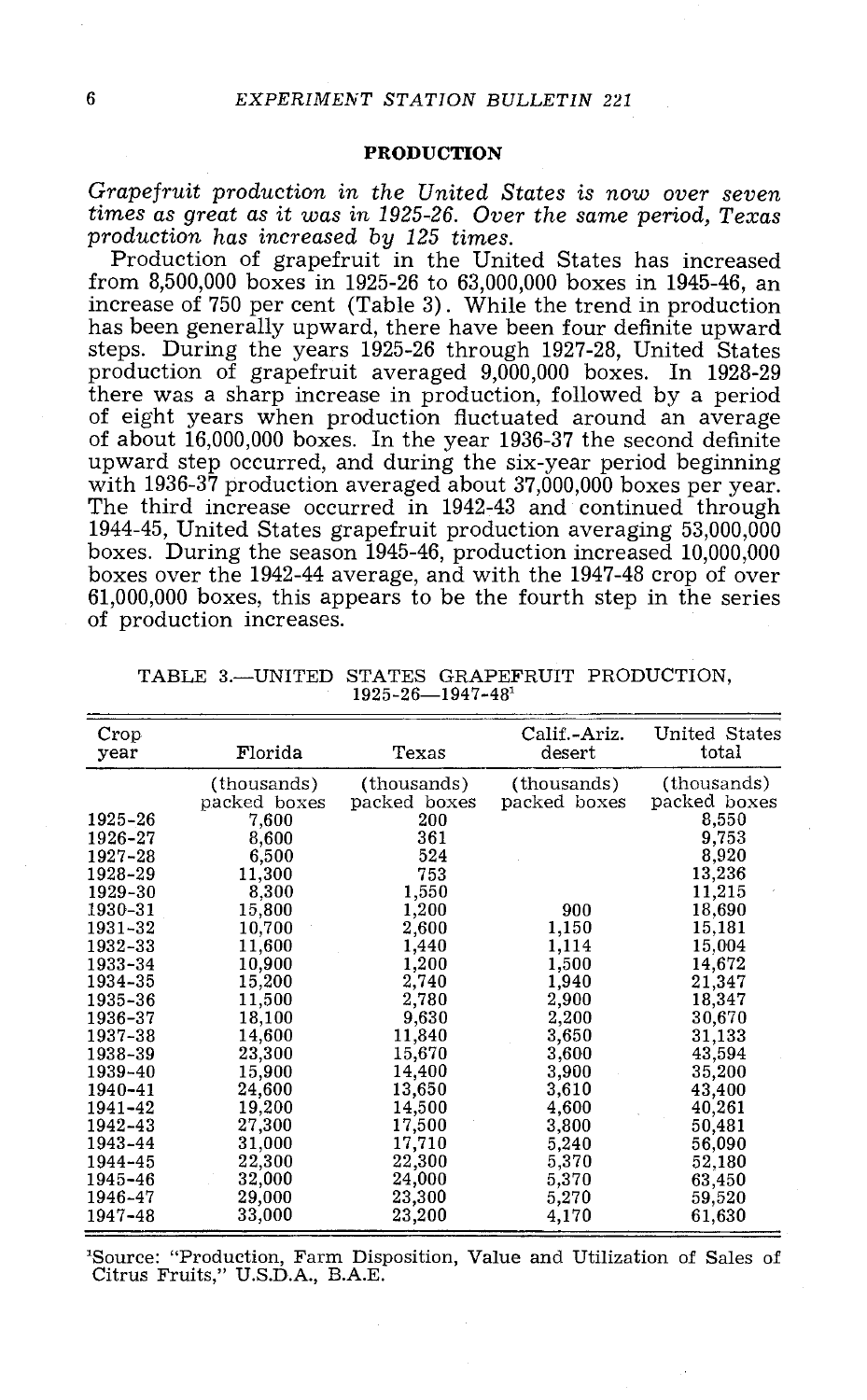## PRODUCTION

Grapefruit production in the United States is now over seven production has increased by 125 times.<br>Production of grapefruit in the United States has increased

from 8,500,000 boxes in 1925 -26 to 63,000,000 boxes in 1945 -46, an increase of 750 per cent (Table 3) . While the trend in production has been generally upward, there have been four definite upward steps. During the years 1925-26 through 1927-28, United States production of grapefruit averaged 9,000,000 boxes. In 1928-29 there was a sharp increase in production, followed by a period of eight years when production fluctuated around an average<br>of about 16,000,000 boxes. In the year 1936-37 the second definite<br>upward step occurred, and during the six-year period beginning<br>with 1936-37 production averaged 1944 -45, United States grapefruit production averaging 53,000,000 boxes. During the season 1945-46, production increased 10,000,000 boxes over the 1942-44 average, and with the 1947-48 crop of over  $61,000,000$  boxes, this appears to be the fourth step in the series of production increases.

| Crop<br>year | Florida      | Texas        | Calif.-Ariz.<br>desert | United States<br>total |
|--------------|--------------|--------------|------------------------|------------------------|
|              | (thousands)  | (thousands)  | (thousands)            | (thousands)            |
|              | packed boxes | packed boxes | packed boxes           | packed boxes           |
| 1925-26      | 7,600        | 200          |                        | 8,550                  |
| 1926-27      | 8,600        | 361          |                        | 9,753                  |
| 1927-28      | 6,500        | 524          |                        | 8,920                  |
| 1928-29      | 11,300       | 753          |                        | 13,236                 |
| 1929-30      | 8,300        | 1,550        |                        | 11,215                 |
| 1930-31      | 15,800       | 1,200        | 900                    | 18,690                 |
| 1931-32      | 10,700       | 2,600        | 1,150                  | 15,181                 |
| 1932-33      | 11,600       | 1,440        | 1,114                  | 15,004                 |
| 1933-34      | 10,900       | 1,200        | 1,500                  | 14,672                 |
| 1934-35      | 15,200       | 2,740        | 1,940                  | 21,347                 |
| 1935-36      | 11,500       | 2,780        | 2,900                  | 18,347                 |
| 1936-37      | 18,100       | 9,630        | 2,200                  | 30,670                 |
| 1937-38      | 14,600       | 11,840       | 3,650                  | 31,133                 |
| 1938-39      | 23,300       | 15,670       | 3,600                  | 43,594                 |
| 1939-40      | 15,900       | 14,400       | 3,900                  | 35,200                 |
| 1940-41      | 24,600       | 13,650       | 3,610                  | 43,400                 |
| 1941-42      | 19,200       | 14,500       | 4,600                  | 40,261                 |
| 1942-43      | 27,300       | 17,500       | 3,800                  | 50,481                 |
| 1943-44      | 31,000       | 17,710       | 5,240                  | 56,090                 |
| 1944-45      | 22,300       | 22,300       | 5,370                  | 52,180                 |
| 1945-46      | 32,000       | 24,000       | 5,370                  | 63,450                 |
| 1946-47      | 29,000       | 23,300       | 5,270                  | 59,520                 |
| 1947-48      | 33,000       | 23,200       | 4,170                  | 61,630                 |

TABLE 3.-UNITED STATES GRAPEFRUIT PRODUCTION, 1925-26- 1947-48<sup>1</sup>

1Source: "Production, Farm Disposition, Value and Utilization of Sales of Citrus Fruits," U.S.D.A., B.A.E.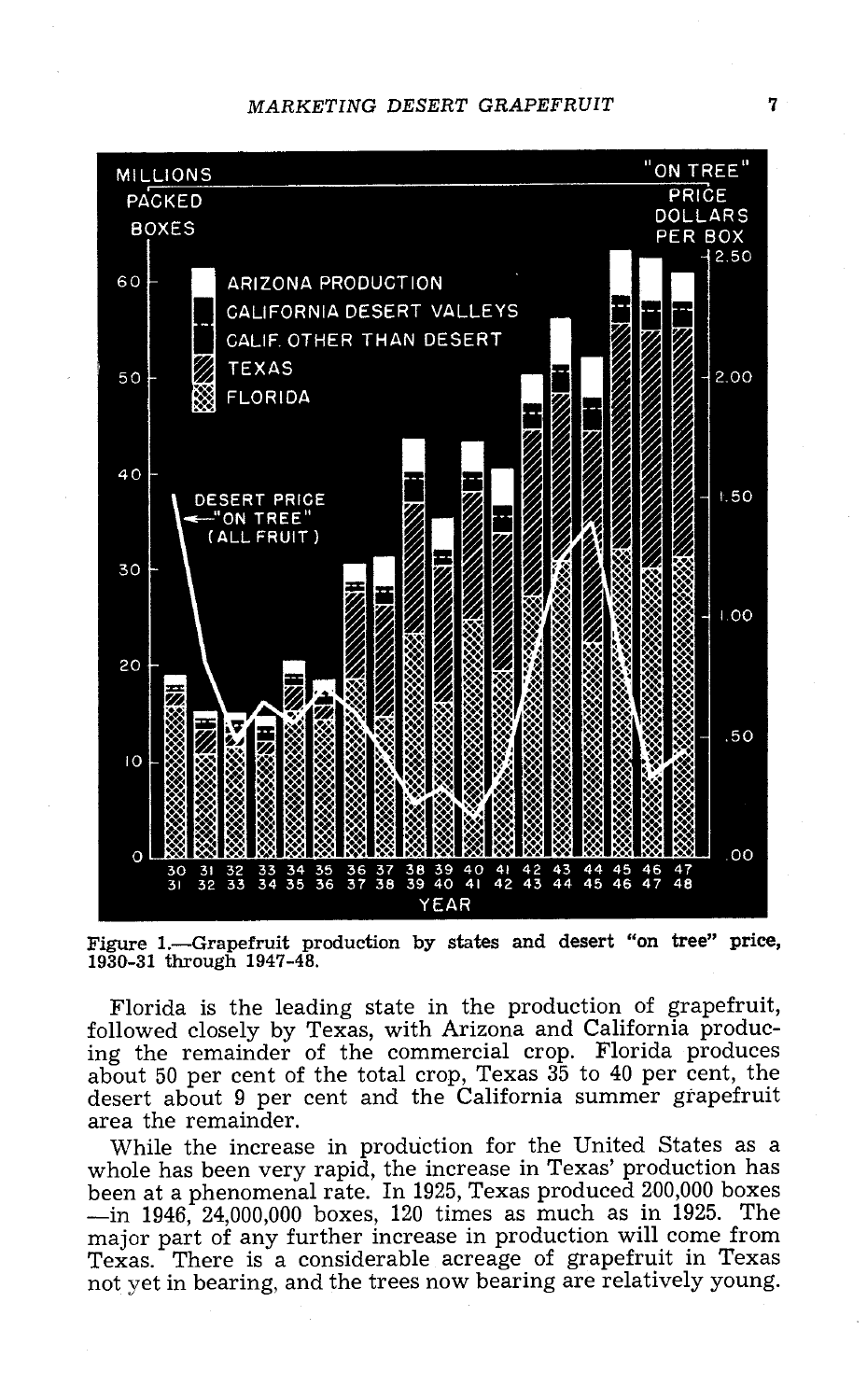

Figure 1.- Grapefruit production by states and desert "on tree" price, 1930 -31 through 1947 -48.

Florida is the leading state in the production of grapefruit, followed closely by Texas, with Arizona and California producabout 50 per cent of the total crop, Texas 35 to 40 per cent, the desert about 9 per cent and the California summer grapefruit area the remainder.<br>While the increase in production for the United States as a

whole has been very rapid, the increase in Texas' production has<br>been at a phenomenal rate. In 1925, Texas produced 200,000 boxes  $\frac{10}{10}$  1946, 24,000,000 boxes, 120 times as much as in 1925. The major part of any further increase in production will come from Texas. There is a considerable acreage of grapefruit in Texas not yet in bearing, and the trees now bearing are relatively young.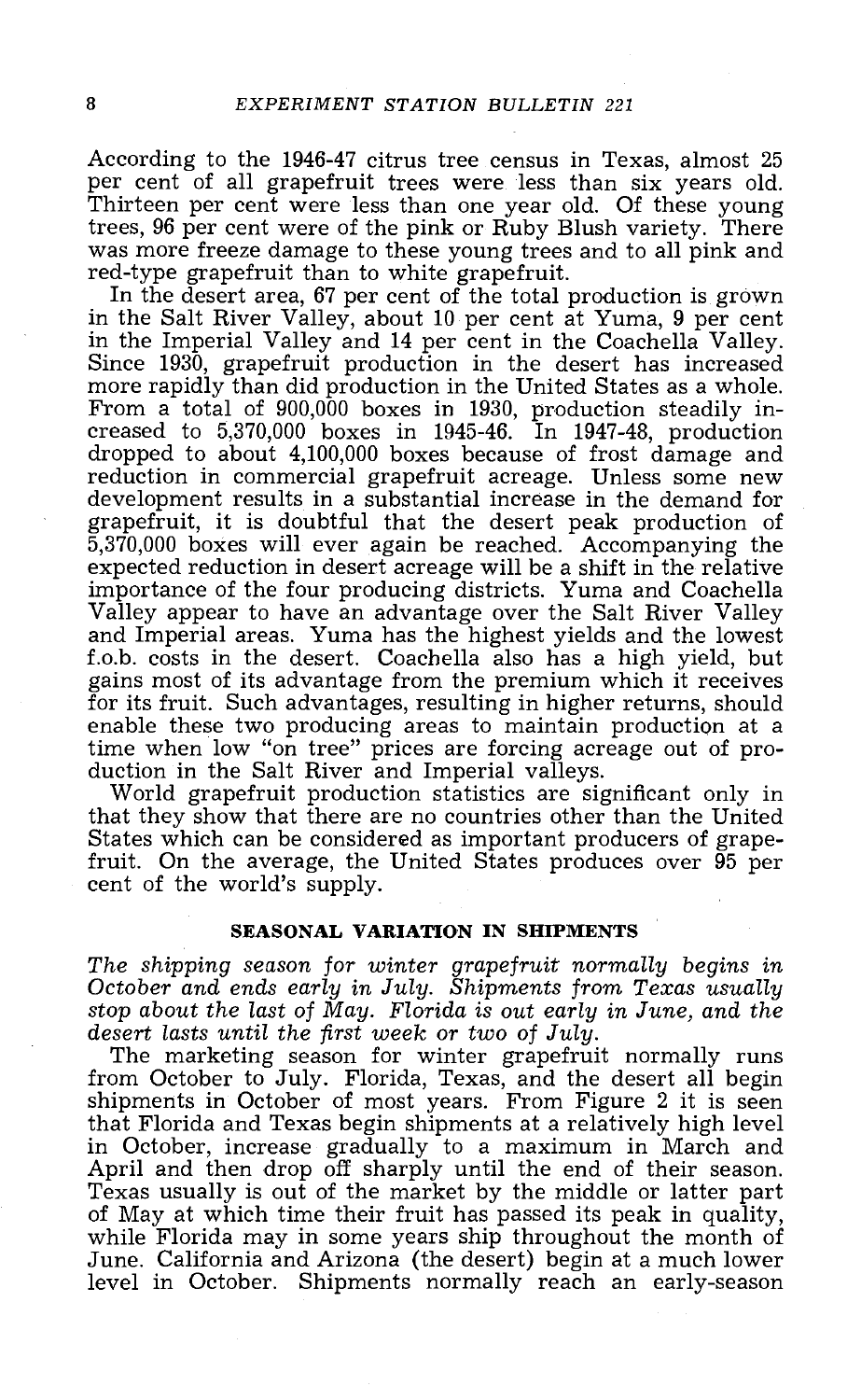According to the 1946-47 citrus tree census in Texas, almost 25 per cent of all grapefruit trees were less than six years old. Thirteen per cent were less than one year old. Of these young trees, 96 per cent were of the pi was more freeze damage to these young trees and to all pink and red-type grapefruit than to white grapefruit.

In the desert area, 67 per cent of the total production is grown in the Salt River Valley, about 10 per cent at Yuma, 9 per cent Since 1930, grapefruit production in the desert has increased<br>more rapidly than did production in the United States as a whole.<br>From a total of 900,000 boxes in 1930, production steadily in-<br>creased to 5,370,000 boxes in reduction in commercial grapefruit acreage. Unless some new grapefruit, it is doubtful that the desert peak production of 5,370,000 boxes will ever again be reached. Accompanying the expected reduction in desert acreage will be a shift in the relative importance of the four producing districts. Yuma and Coachella Valley appear to have an advantage over the Salt River Valley and Imperial areas. Yuma has the highest yields and the lowest f.o.b. costs in the desert. Coachella also has a high yield, but gains most of its advantage from the premium which it receives for its fruit. Such advantages, resulting in higher returns, should enable these two producing areas to maintain production at a time when low "on tree" prices are forcing acreage out of pro- duction in the Salt River and Imperial valleys. World grapefruit production statistics are significant only in

that they show that there are no countries other than the United States which can be considered as important producers of grape- fruit. On the average, the United States produces over 95 per cent of the world's supply.

# SEASONAL VARIATION IN SHIPMENTS

The shipping season for winter grapefruit normally begins in October and ends early in July. Shipments from Texas usually stop about the last of May. Florida is out early in June, and the desert lasts until the first week or two of July.<br>The marketing season for winter grapefruit normally runs

from October to July. Florida, Texas, and the desert all begin shipments in October of most years. From Figure 2 it is seen that Florida and Texas begin shipments at a relatively high level in October, increase gradually to a maximum in March and<br>April and then drop off sharply until the end of their season.<br>Texas usually is out of the market by the middle or latter part<br>of May at which time their fruit has p level in October. Shipments normally reach an early-season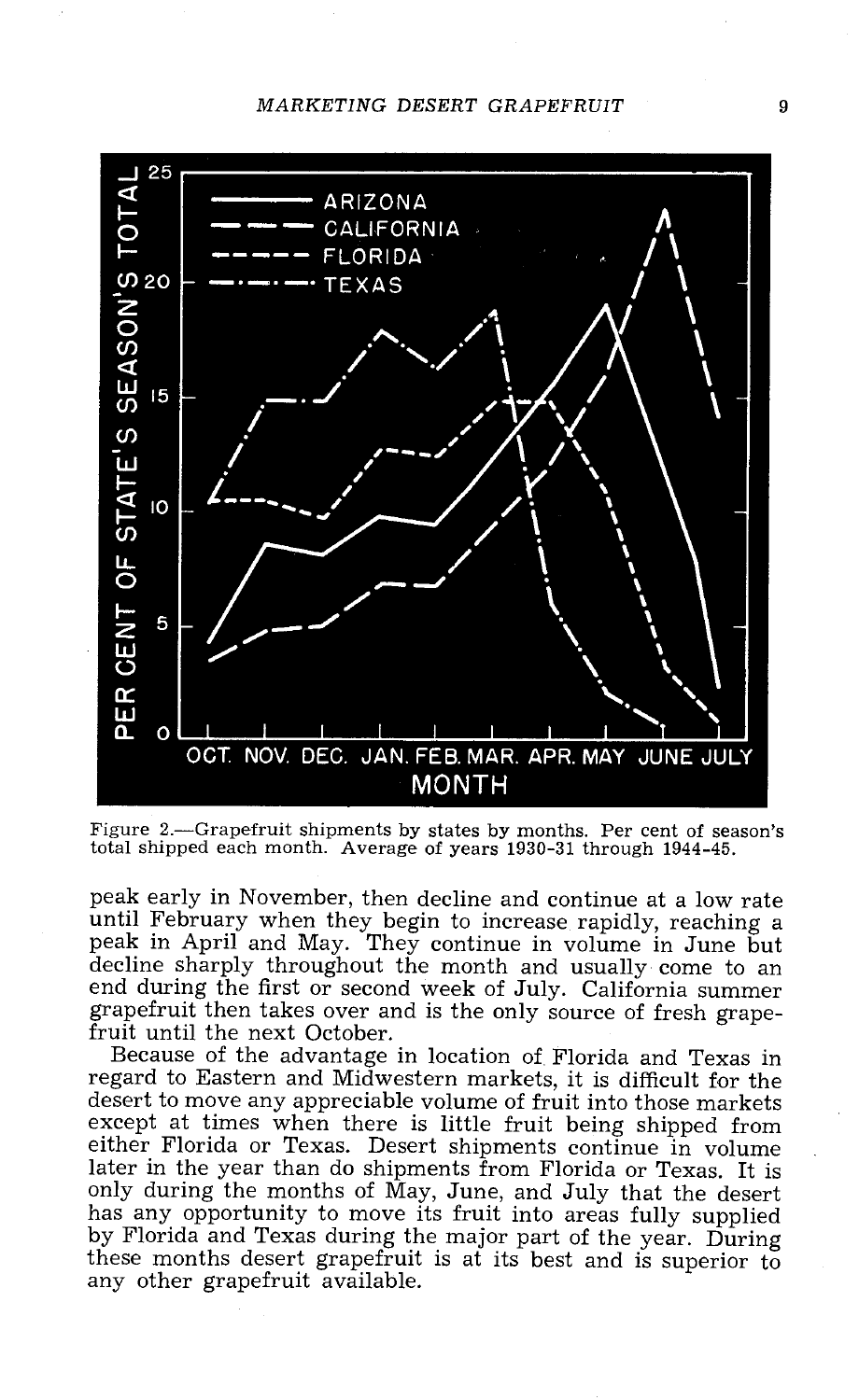

Figure 2.- Grapefruit shipments by states by months. Per cent of season's total shipped each month. Average of years 1930 -31 through 1944 -45.

peak early in November, then decline and continue at a low rate<br>until February when they begin to increase rapidly, reaching a<br>peak in April and May. They continue in volume in June but<br>decline sharply throughout the month end during the first or second week of July. California summer grapefruit then takes over and is the only source of fresh grape- fruit until the next October.

Because of the advantage in location of. Florida and Texas in desert to move any appreciable volume of fruit into those markets<br>except at times when there is little fruit being shipped from either Florida or Texas. Desert shipments continue in volume<br>later in the year than do shipments from Florida or Texas. It is only during the months of May, June, and July that the desert has any opportunity to move its fruit into areas fully supplied by Florida and Texas during the major part of the year. During these months desert grapefruit is at its best and is superior to any other grapefruit available.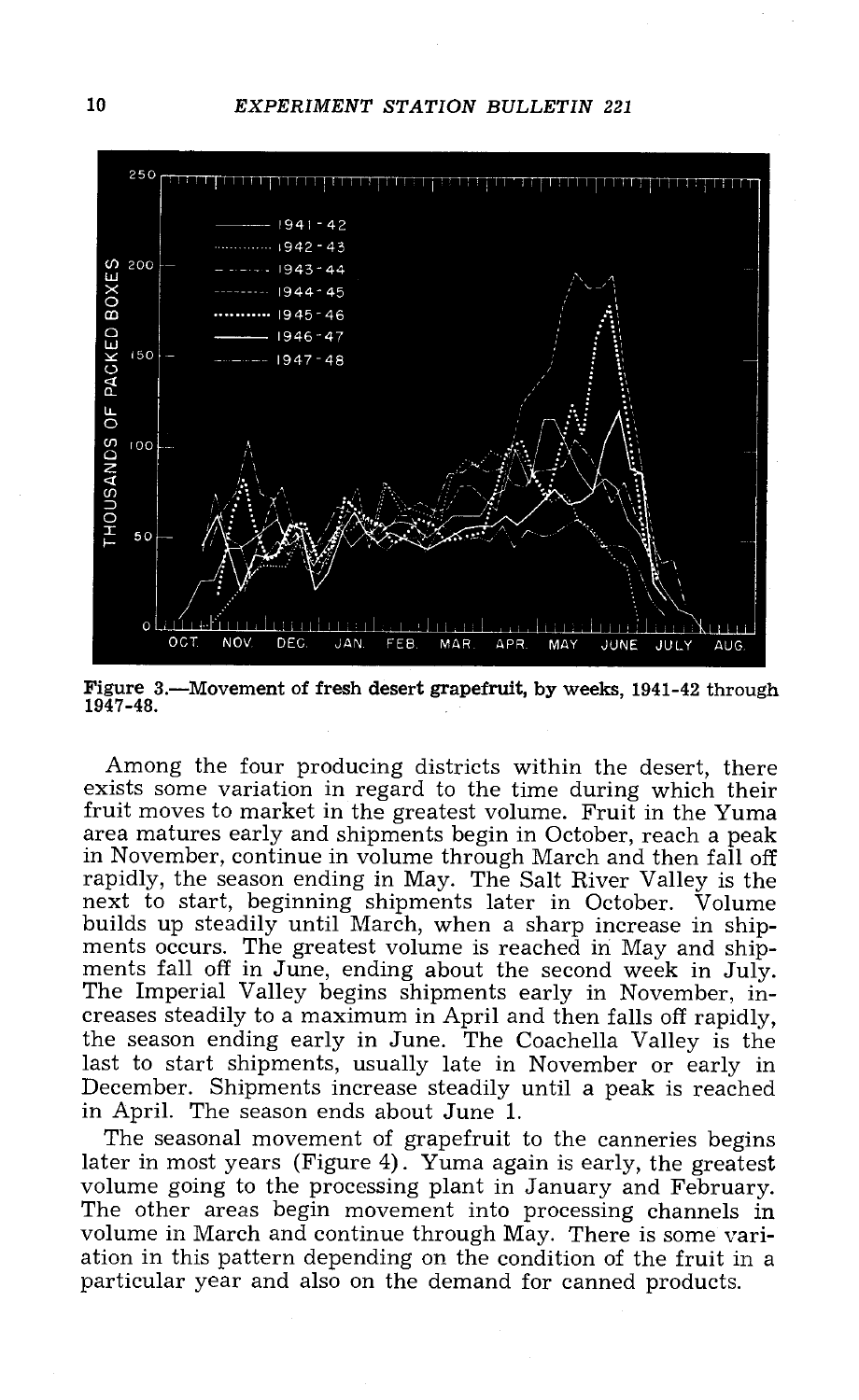10 EXPERIMENT STATION BULLETIN 221



Figure 3.—Movement of fresh desert grapefruit, by weeks, 1941-42 through 1947 -48.

Among the four producing districts within the desert, there exists some variation in regard to the time during which their fruit moves to market in the greatest volume. Fruit in the Yuma area matures early and shipments begin in October, reach a peak<br>in November, continue in volume through March and then fall off rapidly, the season ending in May. The Salt River Valley is the<br>next to start, beginning shipments later in October. Volume<br>builds up steadily until March, when a sharp increase in ship-<br>ments occurs. The greatest volume i last to start shipments, usually late in November or early in December. Shipments increase steadily until a peak is reached in April. The season ends about June 1.

The seasonal movement of grapefruit to the canneries begins later in most years (Figure 4). Yuma again is early, the greatest volume going to the processing plant in January and February. The other areas begin movement into processing channels in volume in March and continue throu ation in this pattern depending on the condition of the fruit in a<br>particular year and also on the demand for canned products.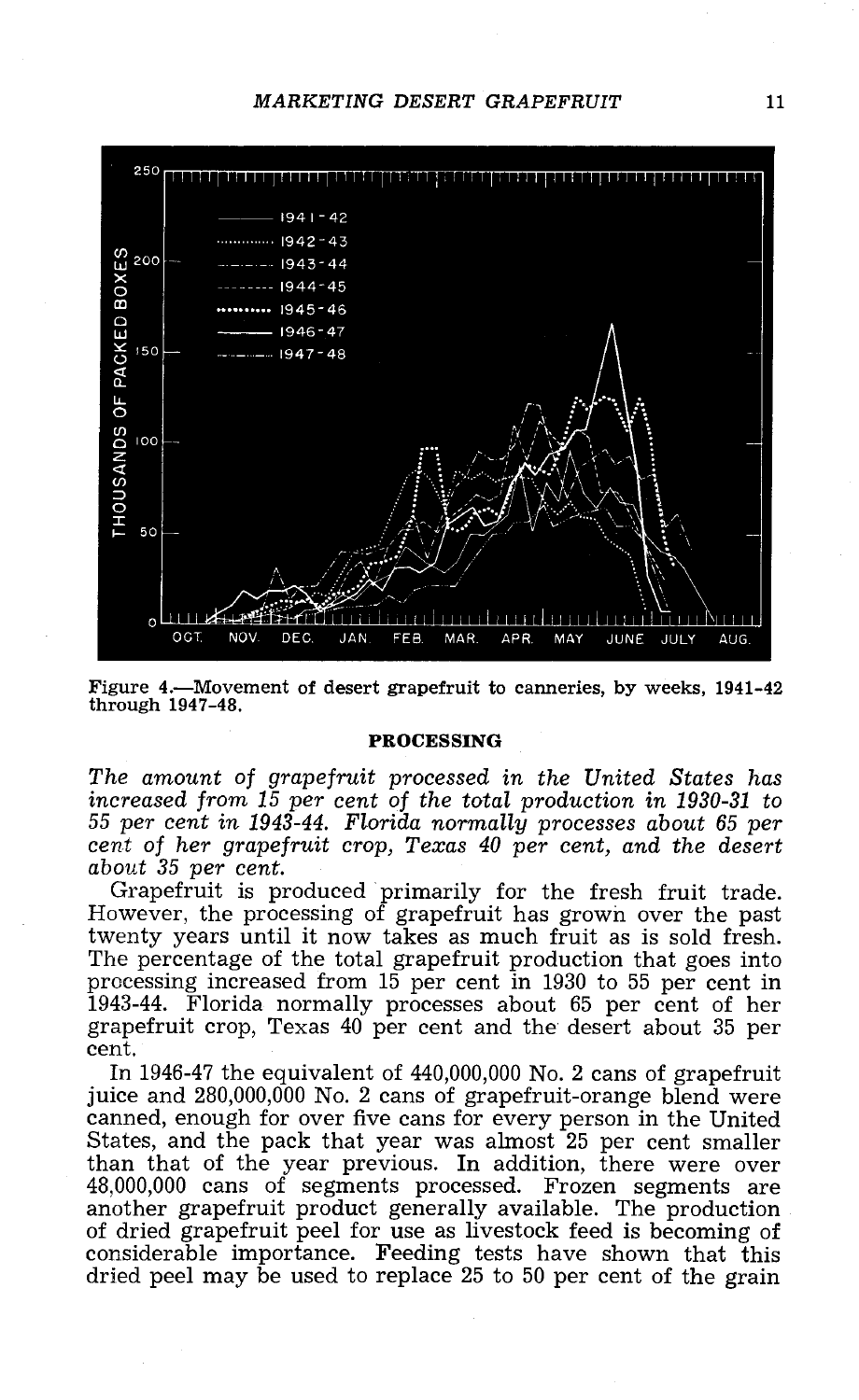

Figure 4.—Movement of desert grapefruit to canneries, by weeks, 1941-42 through 1947 -48.

#### PROCESSING

The amount of grapefruit processed in the United States has increased from 15 per cent of the total production in 1930-31 to<br>55 per cent in 1943-44. Florida normally processes about 65 per

cent of her grapefruit crop, Texas  $40$  per cent, and the desert<br>about 35 per cent.<br>Grapefruit is produced primarily for the fresh fruit trade.<br>However, the processing of grapefruit has grown over the past<br>twenty years un processing increased from 15 per cent in 1930 to 55 per cent in grapefruit crop, Texas  $40$  per cent and the desert about 35 per cent.<br>In 1946-47 the equivalent of 440,000,000 No. 2 cans of grapefruit

juice and 280,000,000 No. 2 cans of grapefruit-orange blend were<br>canned, enough for over five cans for every person in the United<br>States, and the pack that year was almost 25 per cent smaller<br>than that of the year previous  $48,000,000$  cans of segments processed. Frozen segments are another grapefruit product generally available. The production of dried grapefruit peel for use as livestock feed is becoming of considerable importance. Feeding tests have shown that this dried peel may be used to replace 25 to 50 per cent of the grain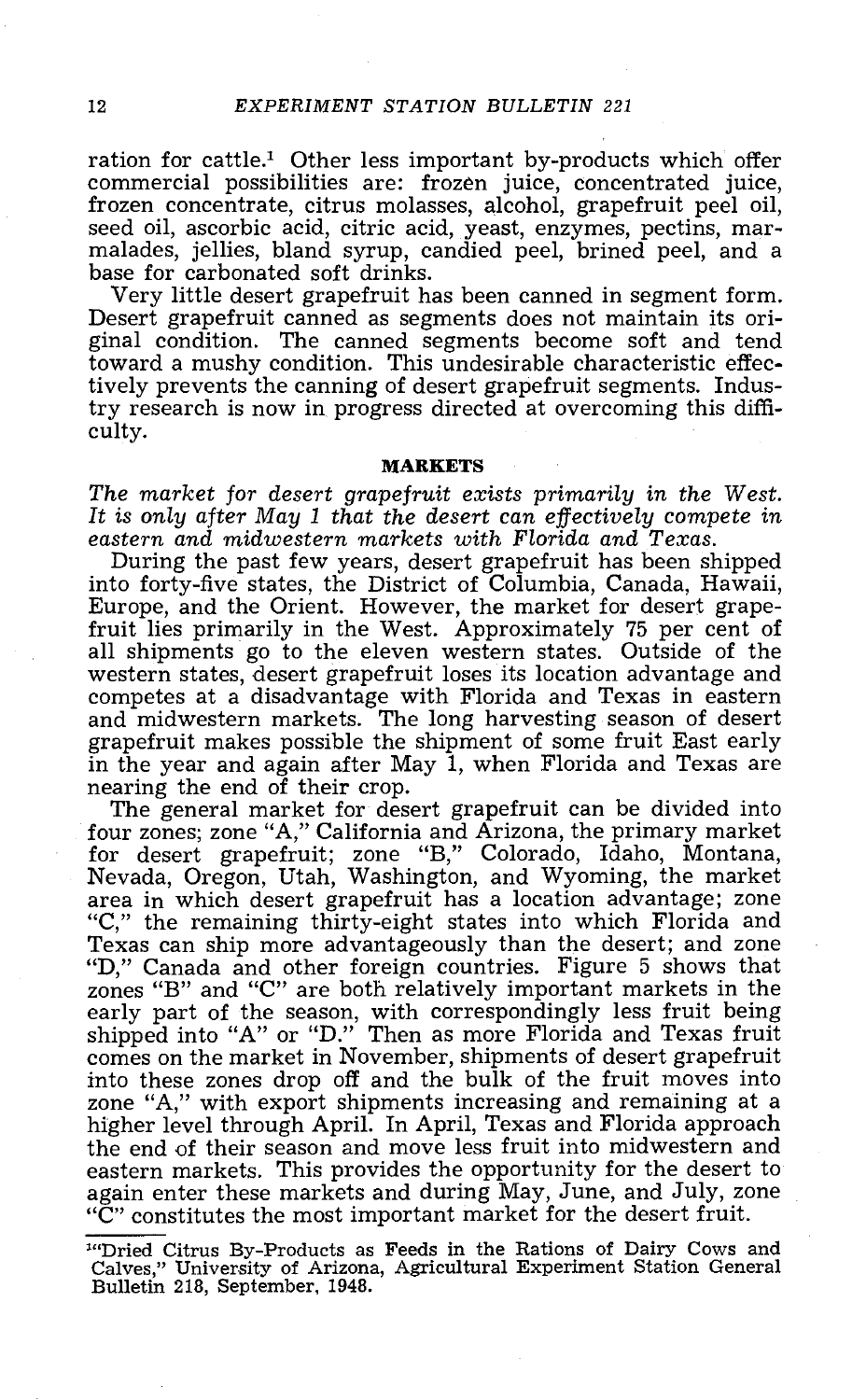ration for cattle.<sup>1</sup> Other less important by-products which offer commercial possibilities are: frozen juice, concentrated juice, frozen concentrate, citrus molasses, alcohol, grapefruit peel oil, seed oil, ascorbic acid,

Desert grapefruit canned as segments does not maintain its original condition. The canned segments become soft and tend toward a mushy condition. This undesirable characteristic effectively prevents the canning of desert grapefruit segments. Industry research is now in progress directed at overcoming this diffi- culty.

#### MARKETS

The market for desert grapefruit exists primarily in the West. It is only after May 1 that the desert can effectively compete in eastern and midwestern markets with Florida and Texas.

During the past few years, desert grapefruit has been shipped Europe, and the Orient. However, the market for desert grape-<br>fruit lies primarily in the West. Approximately 75 per cent of<br>all shipments go to the eleven western states. Outside of the<br>western states, desert grapefruit l competes at a disadvantage with Florida and Texas in eastern and midwestern markets. The long harvesting season of desert grapefruit makes possible the shipment of some fruit East early in the year and again after May 1, when Florida and Texas are nearing the end of their crop. The general market for desert grapefruit can be divided into

for desert grapefruit; zone "B," Colorado, Idaho, Montana,<br>Nevada, Oregon, Utah, Washington, and Wyoming, the market<br>area in which desert grapefruit has a location advantage; zone "C," the remaining thirty-eight states into which Florida and Texas can ship more advantageously than the desert; and zone "D," Canada and other foreign countries. Figure 5 shows that "D," Canada and other foreign countries. Figure 5 shows that zones "B" and "C" are both relatively important markets in the early part of the season, with correspondingly less fruit being shipped into "A" or "D." Then as more Florida and Texas fruit<br>comes on the market in November, shipments of desert grapefruit<br>into these zones drop off and the bulk of the fruit moves into into these zones drop off and the bulk of the fruit moves into zone "A," with export shipments increasing and remaining at a higher level through April. In April, Texas and Florida approach the end of their season and move less fruit into midwestern and eastern markets. This provides the opportunity for the desert to again enter these markets and during May, June, and July, zone "C" constitutes the most important market for the desert fruit.

<sup>&#</sup>x27; "Dried Citrus By- Products as Feeds in the Rations of Dairy Cows and Calves," University of Arizona, Agricultural Experiment Station General Bulletin 218, September, 1948.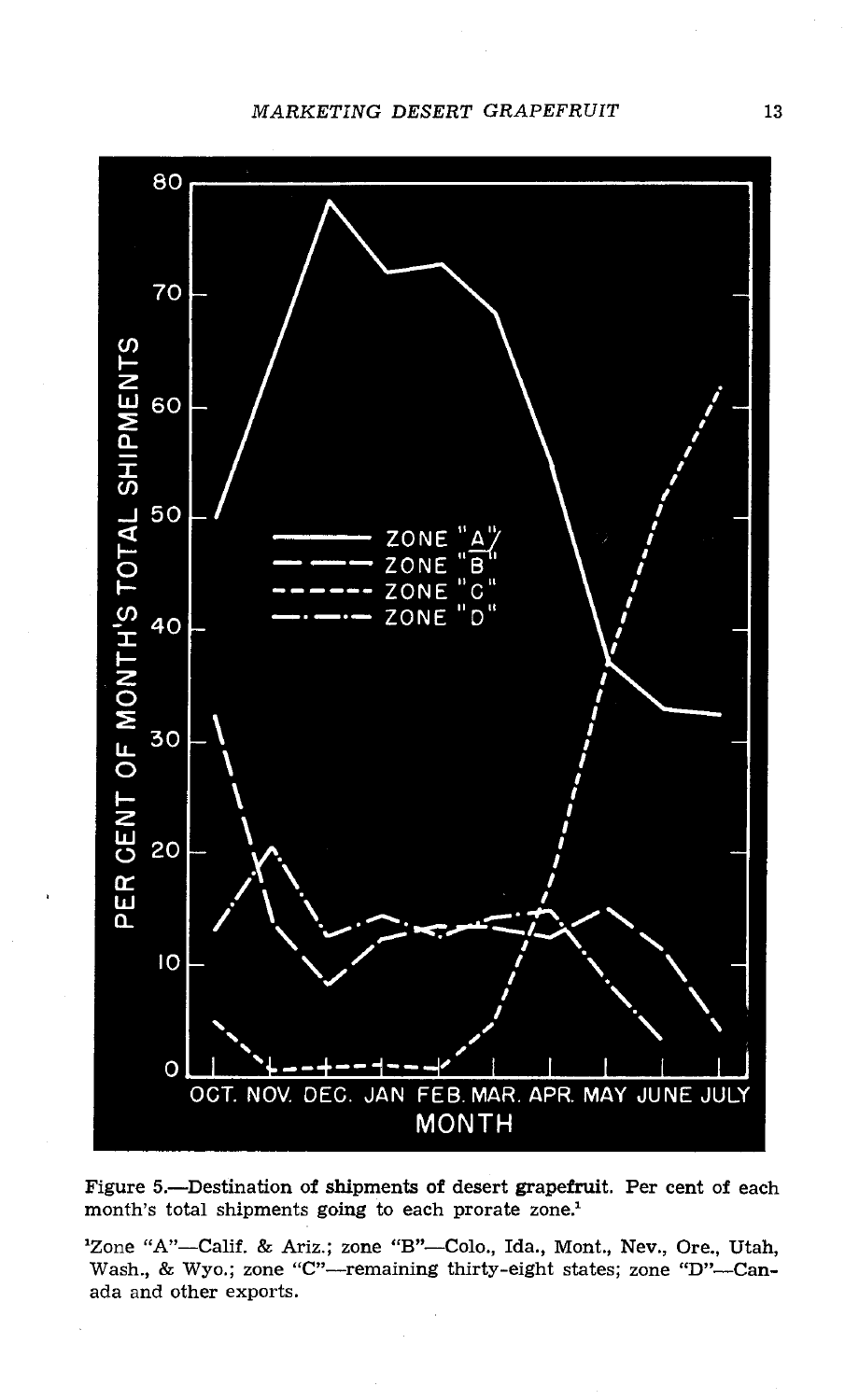MARKETING DESERT GRAPEFRUIT 13



Figure 5.- Destination of shipments of desert grapefruit. Per cent of each month's total shipments going to each prorate zone.<sup>1</sup>

<sup>1</sup>Zone "A"--Calif. & Ariz.; zone "B"--Colo., Ida., Mont., Nev., Ore., Utah, Wash., & Wyo.; zone "C"---remaining thirty-eight states; zone "D"---Canada and other exports.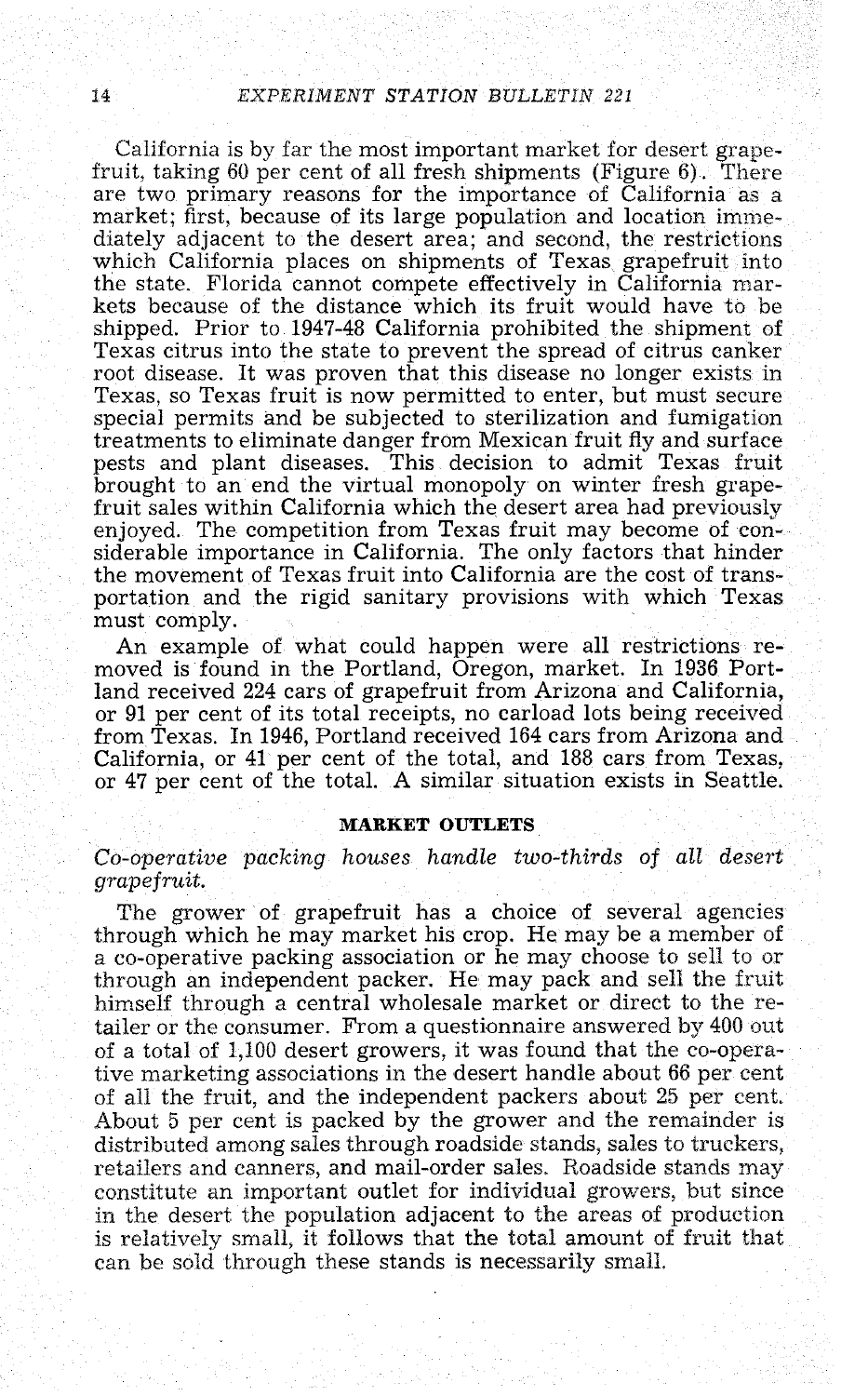California is by far the most important market for desert grape-<br>fruit, taking 60 per cent of all fresh shipments (Figure  $6$ ). There are two primary reasons for the importance of California as a market; first, because of its large population and location immediately adjacent to the desert area; and second, the restrictions which California places on shi kets because of the distance which its fruit would have to be shipped. Prior to 1947-48 California prohibited the shipment of Texas citrus into the state to prevent the spread of citrus canker<br>root disease. It was proven that this disease no longer exists in<br>Texas, so Texas fruit is now permitted to enter, but must secure special permits and be subjected to sterilization and fumigation treatments to eliminate danger from Mexican fruit fly and surface pests and plant diseases. This decision to admit Texas fruit brought to an end the virtual monopoly on winter fresh grape-<br>fruit sales within California which the desert area had previously enjoyed. The competition from Texas fruit may become of con- siderable importance in California. The only factors that hinder the movement of Texas fruit into California are the cost of transportation and the rigid sanitary provisions with which Texas must comply.

An example of what could happen were all restrictions re- moved is found in the Portland, Oregon, market. In 1936 Portland received 224 cars of grapefruit from Arizona and California, or 81 per cent of its total receipts, no carload lots being received from Texas. In 1946, Portland received 164 cars from Arizona and California, or 41 per cent of the total, and 188 cars from Texas, or 47 per cent of the total. A similar situation exists in Seattle.

#### MARKET OUTLETS

Co-operative packing houses handle two-thirds of all desert grapefruit.

The grower of grapefruit has a choice of several agencies through which he may market his crop. He may be a member of a co-operative packing association or he may choose to sell to or through an independent packer. He may pack and sell the fruit himself through a central wholesale market or direct to the retailer or the consumer. From a questionnaire answered by 400 out of a total of 1,100 desert growers, it was found that the co-operative marketing associations in the desert handle about  $66$  per cent of all the fruit, and the independent packers about 25 per cent.<br>About 5 per cent is packed by the grower and the remainder is<br>distributed among sales through roadside stands, sales to truckers,<br>retailers and canners, and constitute an important outlet for individual growers, but since in the desert the population adjacent to the areas of production is relatively small, it follows that the total amount of fruit that can be sold through these stands is necessarily small.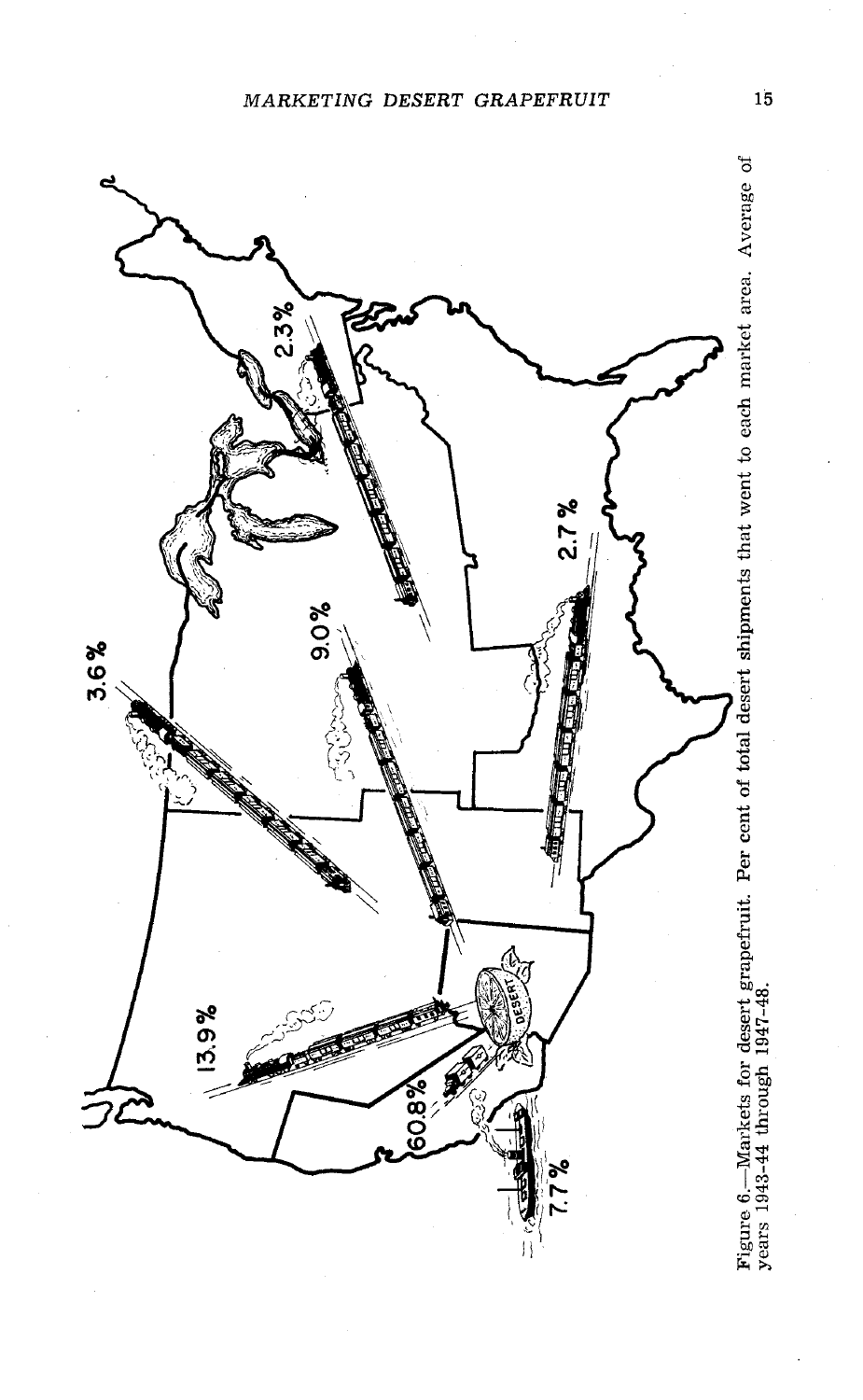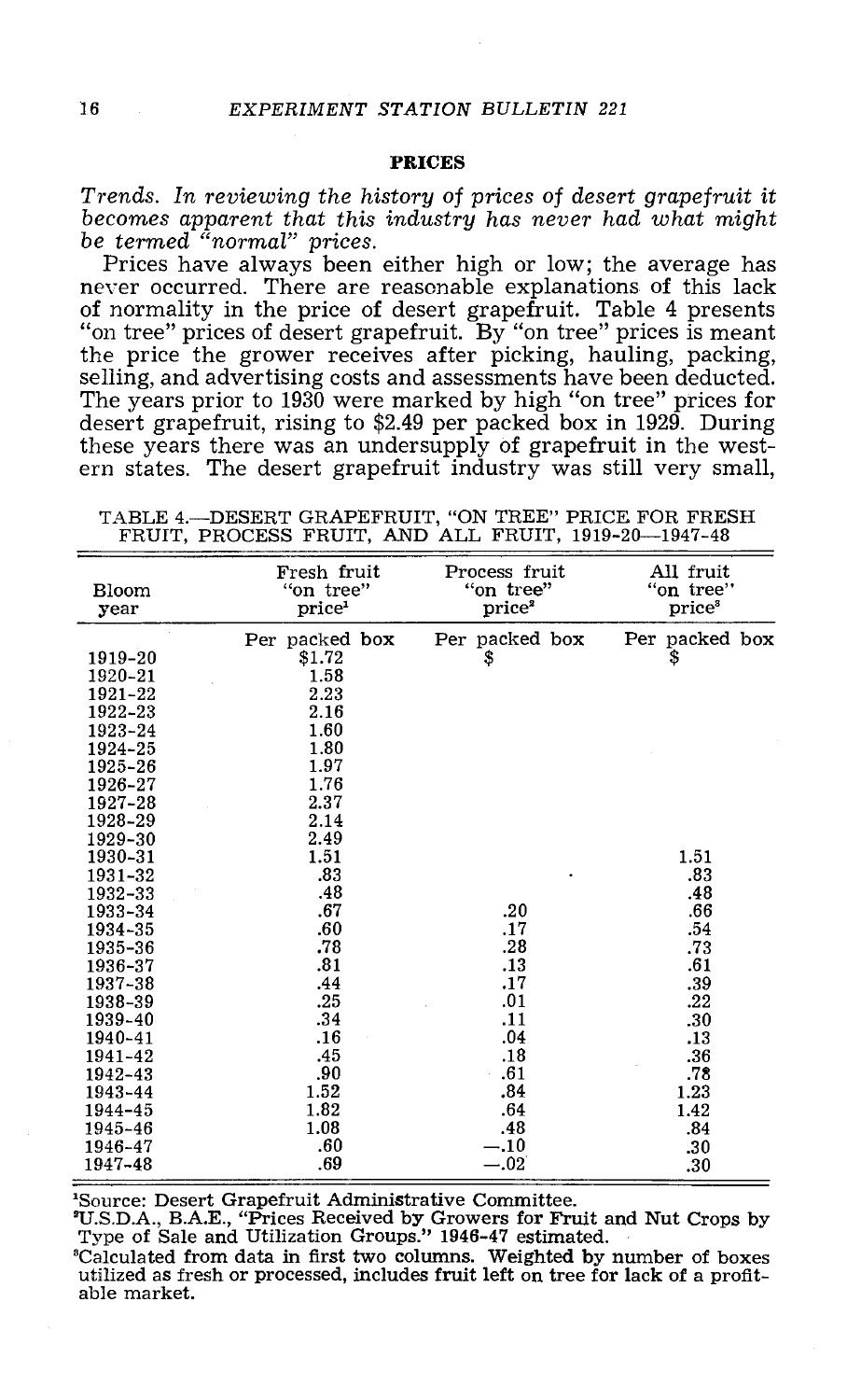## PRICES

Trends. In reviewing the history of prices of desert grapefruit it becomes apparent that this industry has never had what might be termed "normal" prices.<br>Prices have always been either high or low; the average has never o

of normality in the price of desert grapefruit. Table 4 presents "on tree" prices of desert grapefruit. By "on tree" prices is meant the price the grower receives after picking, hauling, packing, selling, and advertising costs and assessments have been deducted.<br>The years prior to 1930 were marked by high "on tree" prices for desert grapefruit, rising t these years there was an undersupply of grapefruit in the west- ern states. The desert grapefruit industry was still very small,

TABLE 4.- DESERT GRAPEFRUIT, "ON TREE" PRICE FOR FRESH FRUIT, PROCESS FRUIT, AND ALL FRUIT, 1919-20-1947-48

| <b>Bloom</b><br>year | Fresh fruit<br>"on tree"<br>price <sup>1</sup> | Process fruit<br>"on tree"<br>price <sup>2</sup> | All fruit<br>"on tree"<br>price <sup>3</sup> |
|----------------------|------------------------------------------------|--------------------------------------------------|----------------------------------------------|
|                      | Per packed box                                 | Per packed box                                   | Per packed box                               |
| 1919-20              | \$1.72                                         | \$                                               | \$                                           |
| 1920-21              | 1.58                                           |                                                  |                                              |
| 1921-22              | 2.23                                           |                                                  |                                              |
| 1922-23              | 2.16                                           |                                                  |                                              |
| 1923-24              | 1.60                                           |                                                  |                                              |
| 1924-25              | 1.80                                           |                                                  |                                              |
| 1925-26              | 1.97                                           |                                                  |                                              |
| 1926-27              | 1.76                                           |                                                  |                                              |
| 1927-28              | 2.37                                           |                                                  |                                              |
| 1928-29              | 2.14                                           |                                                  |                                              |
| 1929-30              | 2.49                                           |                                                  |                                              |
| 1930-31              | 1.51                                           |                                                  | 1.51                                         |
| 1931-32              | .83                                            |                                                  | .83                                          |
| 1932-33              | .48                                            |                                                  | .48                                          |
| 1933-34              | .67                                            | .20                                              | .66                                          |
| 1934-35              | .60                                            | .17                                              | .54                                          |
| 1935-36              | .78                                            | .28                                              | .73                                          |
| 1936-37              | .81                                            | .13                                              | .61                                          |
| 1937-38              | .44                                            | .17                                              | .39                                          |
| 1938-39              | .25                                            | .01                                              | .22                                          |
| 1939-40              | .34                                            | .11                                              | .30                                          |
| 1940-41              | .16                                            | .04                                              | .13                                          |
| 1941-42              | .45                                            | .18                                              | .36                                          |
| 1942-43              | .90                                            | .61                                              | .78                                          |
| 1943-44              | 1.52                                           | .84                                              | 1.23                                         |
| 1944-45              | 1.82                                           | .64                                              | 1.42                                         |
| 1945-46              | 1.08                                           | .48                                              | .84                                          |
| 1946-47              | .60                                            | $-.10$                                           | .30                                          |
| 1947-48              | .69                                            | $-.02$                                           | .30                                          |

'Source: Desert Grapefruit Administrative Committee.<br>
"U.S.D.A., B.A.E., "Prices Received by Growers for Fruit and Nut Crops by<br>
Type of Sale and Utilization Groups." 1946-47 estimated.<br>
"Calculated from data in first two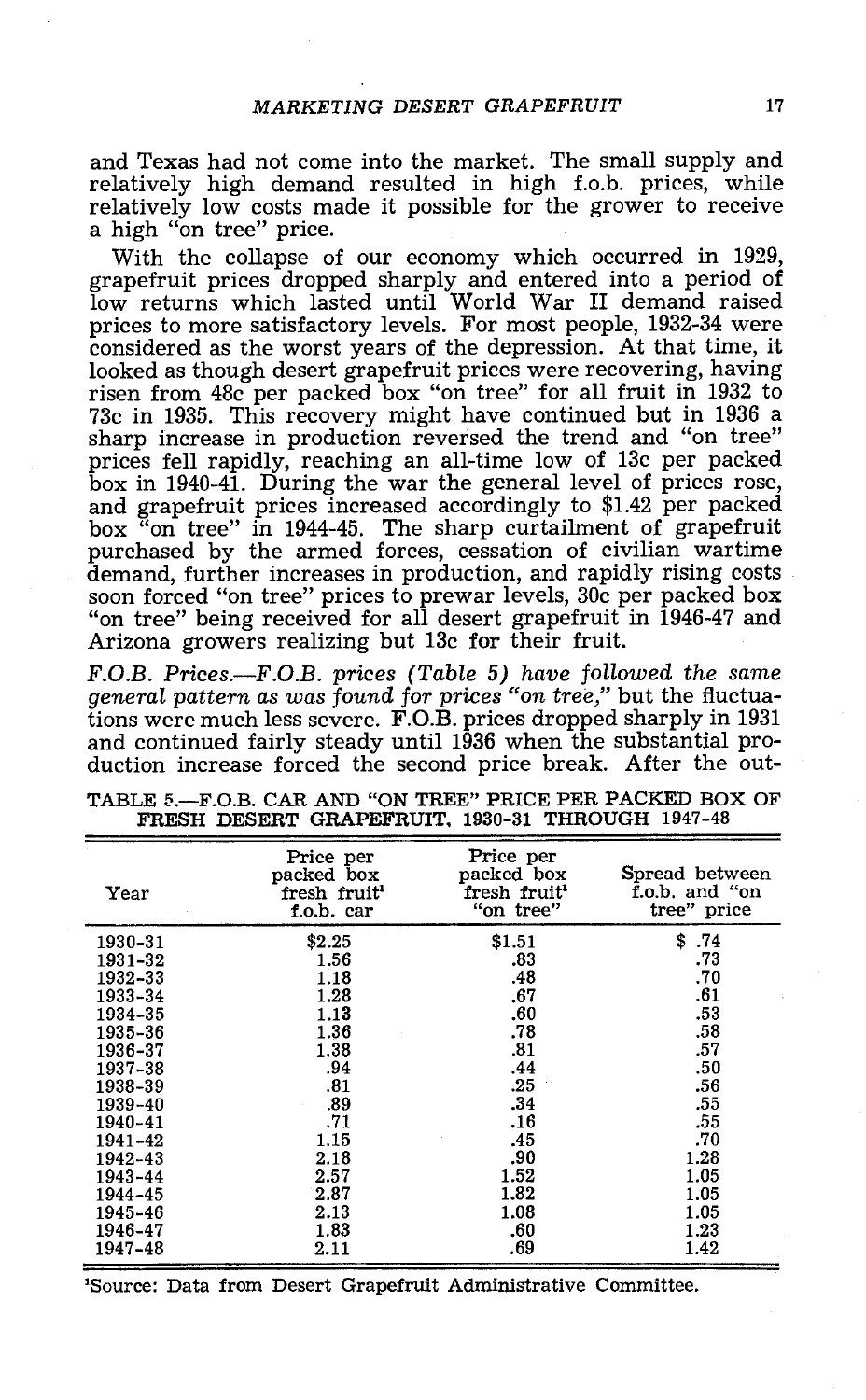and Texas had not come into the market. The small supply and relatively high demand resulted in high f.o.b. prices, while relatively low costs made it possible for the grower to receive a high "on tree" price.

With the collapse of our economy which occurred in 1929, grapefruit prices dropped sharply and entered into a period of low returns which lasted until World War II demand raised prices to more satisfactory levels. For most people, 1932 -34 were considered as the worst years of the depression. At that time, it looked as though desert grapefruit prices were recovering, having risen from 48c per packed box "on tree" for all fruit in 1932 to 73c in 1935. This recovery might have continued but in 1936 a prices fell rapidly, reaching an all-time low of 13c per packed box in 1940-41. During the war the general level of prices rose, and grapefruit prices increased accordingly to \$1.42 per packed<br>box "on tree" in 1944-45. The sharp curtailment of grapefruit<br>purchased by the armed forces, cessation of civilian wartime<br>demand, further increases in produc soon forced "on tree" prices to prewar levels, 30c per packed box "on tree" being received for all desert grapefruit in 1946 -47 and Arizona growers realizing but 13c for their fruit.

F.O.B. Prices.—F.O.B. prices (Table 5) have followed the same general pattern as was found for prices "on tree," but the fluctuations were much less severe. F.O.B. prices dropped sharply in 1931 and continued fairly steady until 1936 when the substantial pro- duction increase forced the second price break. After the out-

| Year    | Price per<br>packed box<br>fresh fruit <sup>1</sup><br>f.o.b. car | Price per<br>packed box<br>fresh fruit <sup>1</sup><br>"on tree" | Spread between<br>f.o.b. and "on<br>tree" price |
|---------|-------------------------------------------------------------------|------------------------------------------------------------------|-------------------------------------------------|
| 1930–31 | \$2.25                                                            | \$1.51                                                           | \$<br>.74                                       |
| 1931-32 | 1.56                                                              | .83                                                              | .73                                             |
| 1932–33 | 1.18                                                              | .48                                                              | .70                                             |
| 1933-34 | 1.28                                                              | .67                                                              | .61                                             |
| 1934-35 | 1.13                                                              | .60                                                              | .53                                             |
| 1935-36 | 1.36                                                              | .78                                                              | .58                                             |
| 1936-37 | 1.38                                                              | .81                                                              | .57                                             |
| 1937-38 | .94                                                               | .44                                                              | .50                                             |
| 1938-39 | .81                                                               | .25                                                              | .56                                             |
| 1939-40 | .89                                                               | .34                                                              | .55                                             |
| 1940-41 | .71                                                               | .16                                                              | .55                                             |
| 1941-42 | 1.15                                                              | .45                                                              | .70                                             |
| 1942-43 | 2.18                                                              | .90                                                              | 1.28                                            |
| 1943-44 | 2.57                                                              | 1.52                                                             | 1.05                                            |
| 1944-45 | 2.87                                                              | 1.82                                                             | 1.05                                            |
| 1945-46 | 2.13                                                              | 1.08                                                             | 1.05                                            |
| 1946-47 | 1.83                                                              | .60                                                              | 1.23                                            |
| 1947–48 | 2.11                                                              | .69                                                              | 1.42                                            |

TABLE 5.- F.O.B. CAR AND "ON TREE" PRICE PER PACKED BOX OF FRESH DESERT GRAPEFRUIT, 1930-31 THROUGH 1947-48

'Source: Data from Desert Grapefruit Administrative Committee.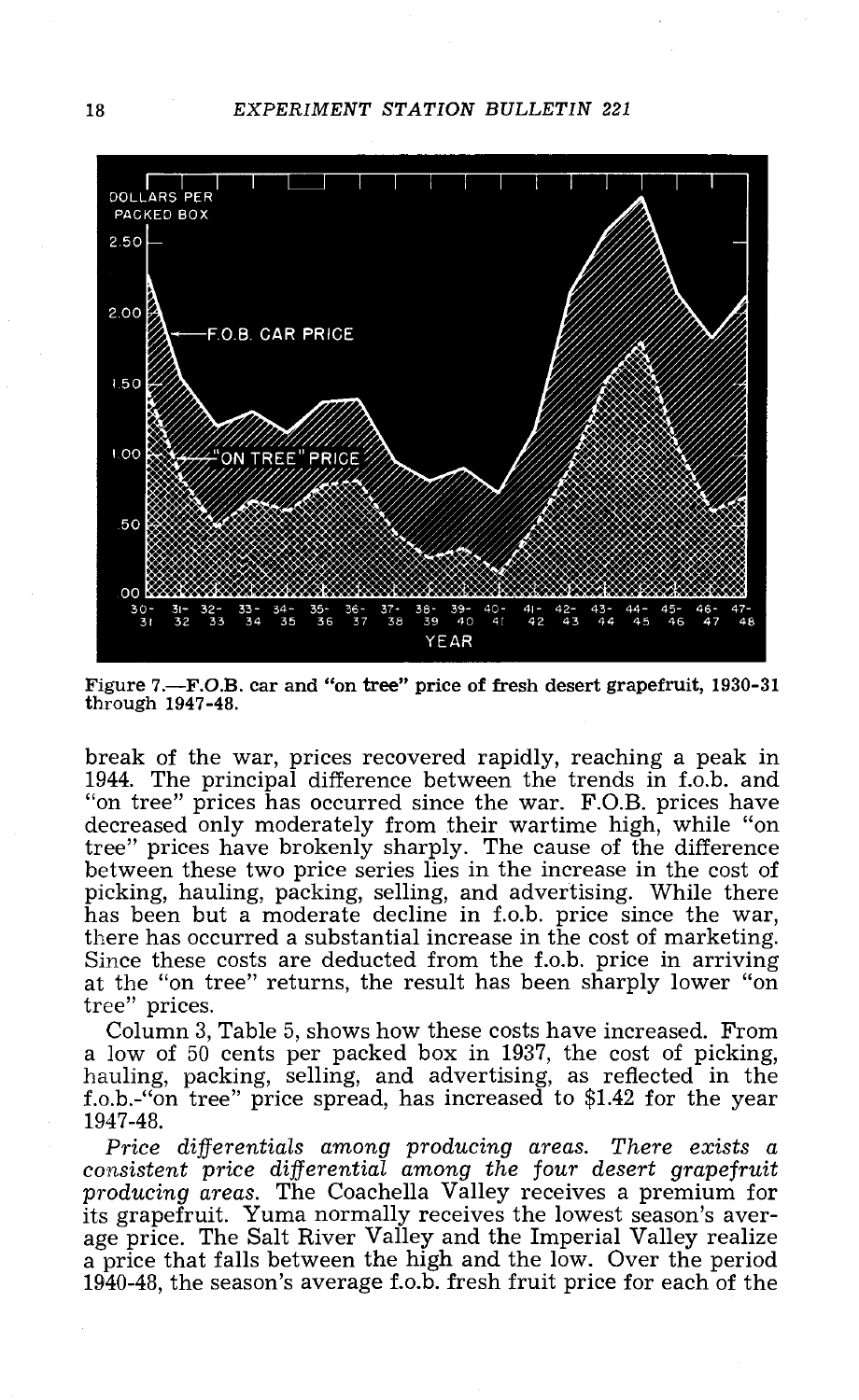

Figure 7.- F.O.B. car and "on tree" price of fresh desert grapefruit, 1930-31 through 1947 -48.

break of the war, prices recovered rapidly, reaching a peak in 1944. The principal difference between the trends in f.o.b. and "on tree" prices has occurred since the war. F.O.B. prices have decreased only moderately from their wartime high, while "on between these two price series lies in the increase in the cost of picking, hauling, packing, selling, and advertising. While there has been but a moderate decline in f.o.b. price since the war, there has occurred a substa at the "on tree" returns, the result has been sharply lower "on tree" prices.

Column 3, Table 5, shows how these costs have increased. From a low of 50 cents per packed box in 1937, the cost of picking, hauling, packing, selling, and advertising, as reflected in the f.o.b. -"on tree" price spread, has increased to \$1.42 for the year 1947 -48.

Price differentials among producing areas. There exists a consistent price differential among the four desert grapefruit producing areas. The Coachella Valley receives a premium for producing areas. The Coachella Valley receives a premium for<br>its grapefruit. Yuma normally receives the lowest season's aver-<br>age price. The Salt River Valley and the Imperial Valley realize<br>a price that falls between the 1940-48, the season's average f.o.b. fresh fruit price for each of the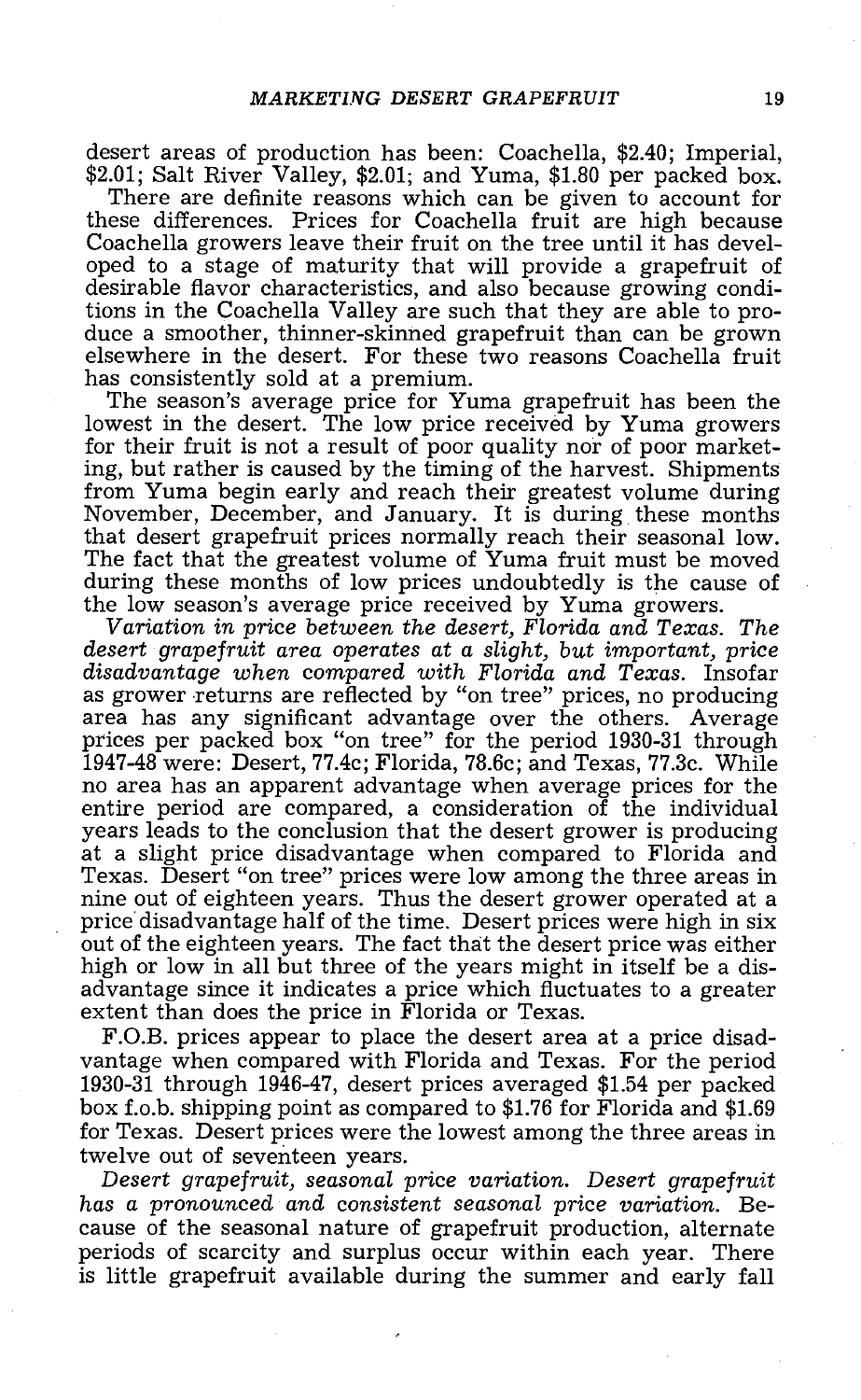desert areas of production has been: Coachella, \$2.40; Imperial, \$2.01; Salt River Valley, \$2.01; and Yuma, \$1.80 per packed box. There are definite reasons which can be given to account for these differences. Prices for C

Coachella growers leave their fruit on the tree until it has developed to a stage of maturity that will provide a grapefruit of desirable flavor characteristics, and also because growing conditions in the Coachella Valley duce a smoother, thinner-skinned grapefruit than can be grown elsewhere in the desert. For these two reasons Coachella fruit has consistently sold at a premium.

The season's average price for Yuma grapefruit has been the lowest in the desert. The low price received by Yuma growers for their fruit is not a result of poor quality nor of poor marketing, but rather is caused by the timing of the harvest. Shipments from Yuma begin early and reach their greatest volume during November, December, and January. It is during these months that desert grapefruit prices normally reach their seasonal low. The fact that the greatest volume of Yuma fruit must be moved during these months of low prices undoubtedly is the cause of

the low season's average price received by Yuma growers.<br>Variation in price between the desert, Florida and Texas. The<br>desert grapefruit area operates at a slight, but important, price<br>disadvantage when compared with Flori area has any significant advantage over the others. Average prices per packed box "on tree" for the period 1930 -31 through 1947 -48 were: Desert, 77.4c; Florida, 78.6c; and Texas, 77.3c. While entire period are compared, a consideration of the individual<br>years leads to the conclusion that the desert grower is producing<br>at a slight price disadvantage when compared to Florida and Texas. Desert "on tree" prices were low among the three areas in<br>nine out of eighteen years. Thus the desert grower operated at a<br>price disadvantage half of the time. Desert prices were high in six<br>out of the eighteen year high or low in all but three of the years might in itself be a dis-<br>advantage since it indicates a price which fluctuates to a greater<br>extent than does the price in Florida or Texas.<br>F.O.B. prices appear to place the deser

1930 -31 through 1946 -47, desert prices averaged \$1.54 per packed box f.o.b. shipping point as compared to \$1.76 for Florida and \$1.69 for Texas. Desert prices were the lowest among the three areas in

Desert grapefruit, seasonal price variation. Desert grapefruit has a pronounced and consistent seasonal price variation. Because of the seasonal nature of grapefruit production, alternate periods of scarcity and surplus oc is little grapefruit available during the summer and early fall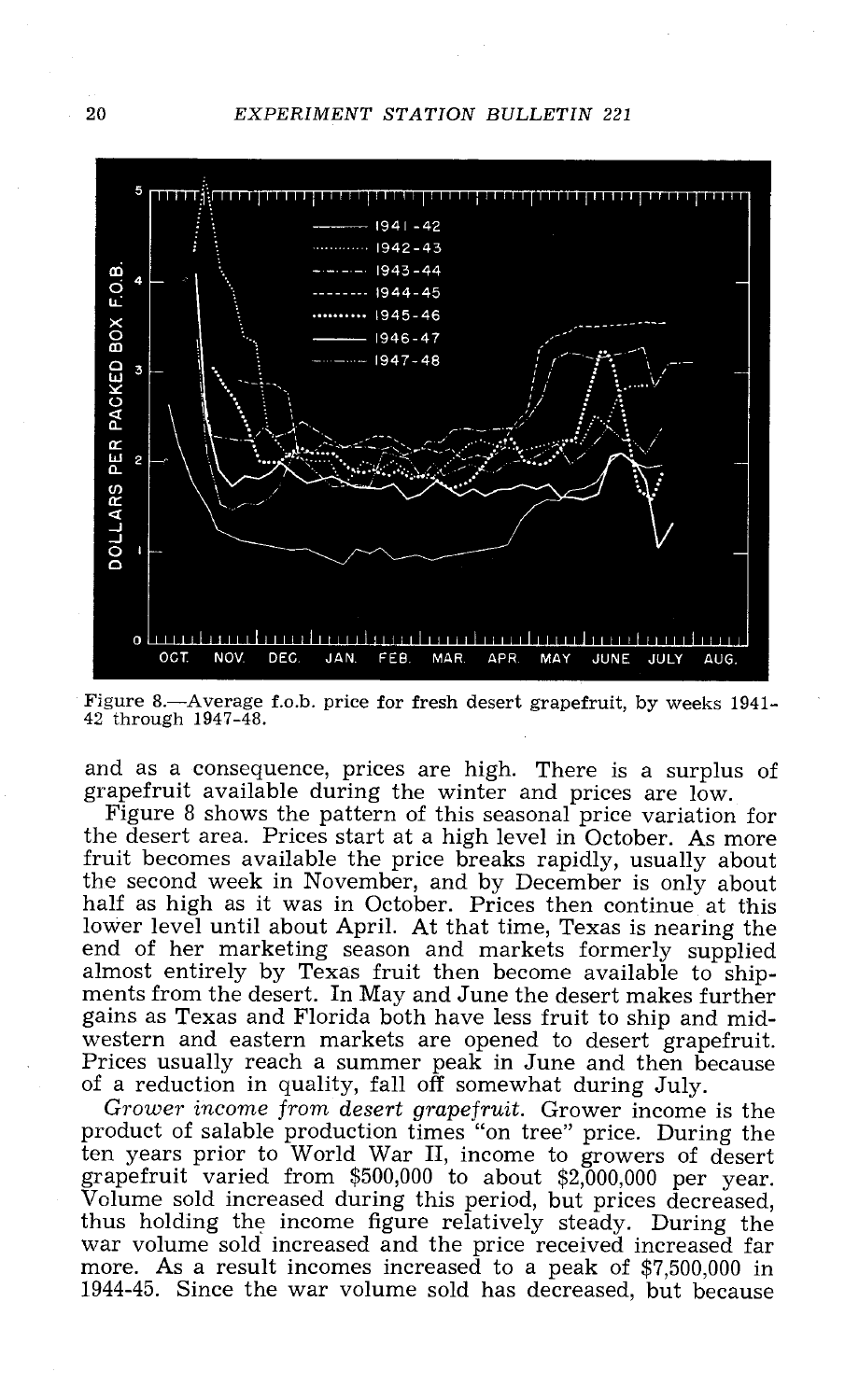20 EXPERIMENT STATION BULLETIN 221



Figure 8.—Average f.o.b. price for fresh desert grapefruit, by weeks 1941-42 through 1947-48.

and as a consequence, prices are high. There is a surplus of grapefruit available during the winter and prices are low. Figure 8 shows the pattern of this seasonal price variation for

the desert area. Prices start at a high level in October. As more fruit becomes available the price breaks rapidly, usually about the second week in November, and by December is only about half as high as it was in October. Prices then continue at this lower level until about April. At that time, Texas is nearing the end of her marketing season and markets formerly supplied almost entirely by Texas fruit then become available to shipments from the desert. In May and June the desert makes further<br>gains as Texas and Florida both have less fruit to ship and mid-<br>western and eastern markets are opened to desert grapefruit.<br>Prices usually reach a summer pe

grapefruit varied from \$500,000 to about \$2,000,000 per year.<br>Volume sold increased during this period, but prices decreased,<br>thus holding the income figure relatively steady. During the<br>war volume sold increased and the p 1944 -45. Since the war volume sold has decreased, but because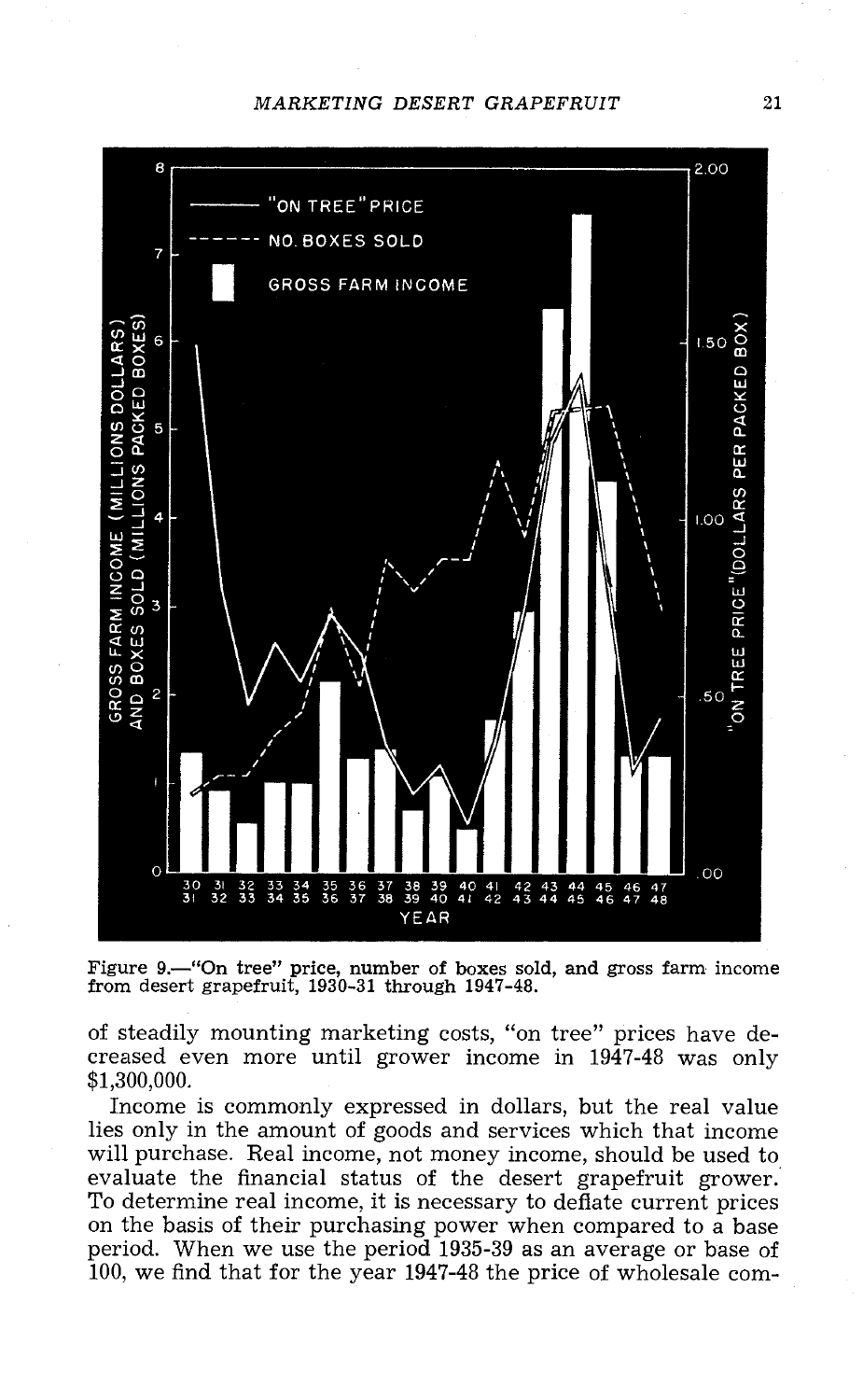## MARKETING DESERT GRAPEFRUIT 21



Figure 9.—"On tree" price, number of boxes sold, and gross farm income from desert grapefruit, 1930-31 through 1947-48.

of steadily mounting marketing costs, "on tree" prices have de- creased even more until grower income in 1947 -48 was only \$1,300,000.

Income is commonly expressed in dollars, but the real value lies only in the amount of goods and services which that income will purchase. Real income, not money income, should be used to evaluate the financial status of the desert grapefruit grower.<br>To determine real income, it is necessary to deflate current prices<br>on the basis of their purchasing power when compared to a base<br>period. When we use the peri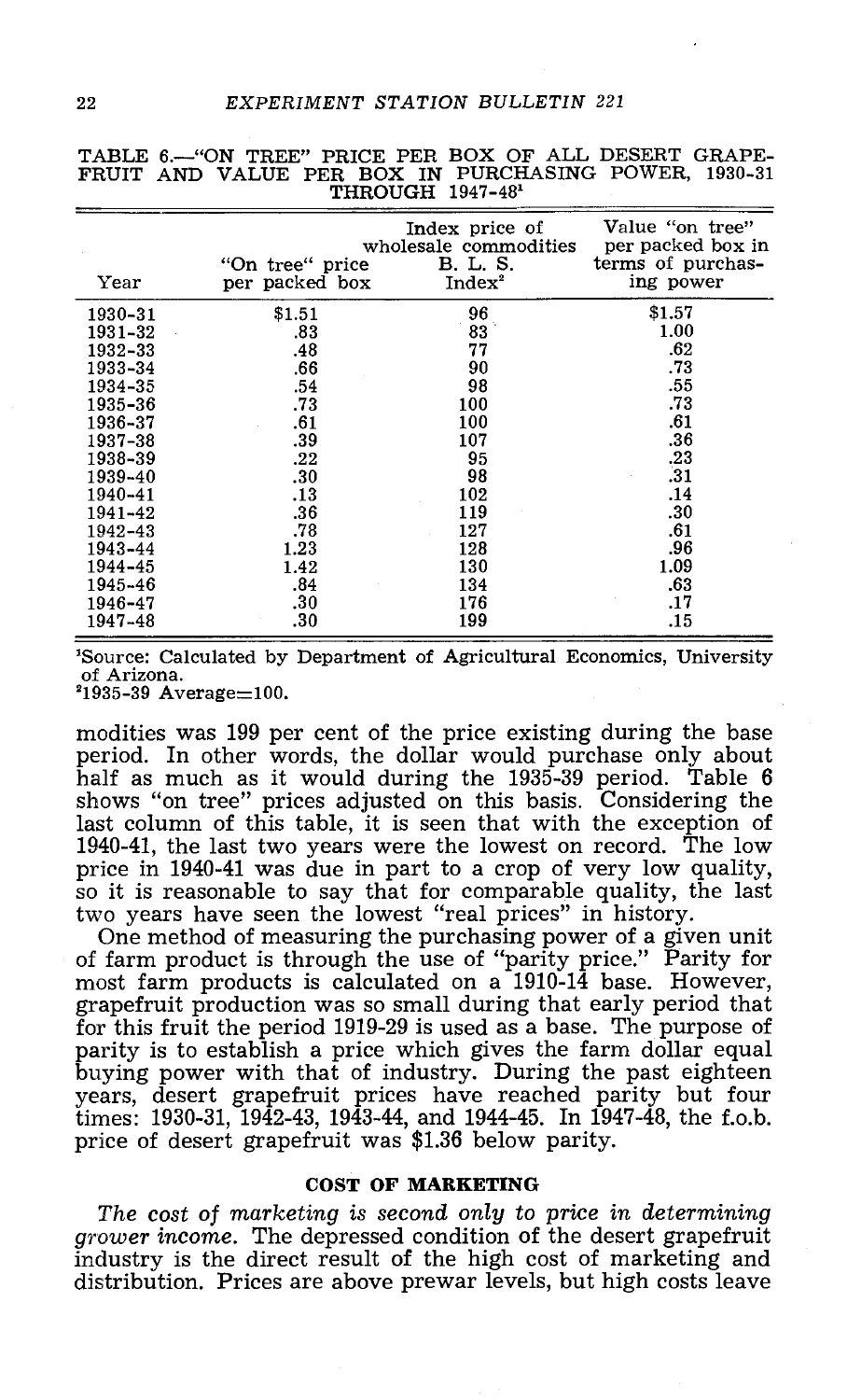| Year    | "On tree" price<br>per packed box | Index price of<br>wholesale commodities<br>B. L. S.<br>Index <sup>2</sup> | Value "on tree"<br>per packed box in<br>terms of purchas-<br>ing power |
|---------|-----------------------------------|---------------------------------------------------------------------------|------------------------------------------------------------------------|
| 1930-31 | \$1.51                            | 96                                                                        | \$1.57                                                                 |
| 1931-32 | .83                               | $83^{\circ}$                                                              | 1.00                                                                   |
| 1932-33 | .48                               | 77                                                                        | .62                                                                    |
| 1933-34 | .66                               | 90                                                                        | .73                                                                    |
| 1934-35 | .54                               | 98                                                                        | .55                                                                    |
| 1935–36 | .73                               | 100                                                                       | .73                                                                    |
| 1936-37 | .61                               | 100                                                                       | .61                                                                    |
| 1937-38 | .39                               | 107                                                                       | .36                                                                    |
| 1938-39 | .22                               | 95                                                                        | .23                                                                    |
| 1939-40 | .30                               | 98                                                                        | .31                                                                    |
| 1940-41 | .13                               | 102                                                                       | .14                                                                    |
| 1941-42 | .36                               | 119                                                                       | .30                                                                    |
| 1942-43 | .78                               | 127                                                                       | .61                                                                    |
| 1943-44 | 1.23                              | 128                                                                       | .96                                                                    |
| 1944-45 | 1.42                              | 130                                                                       | 1.09                                                                   |
| 1945-46 | .84                               | 134                                                                       | .63                                                                    |
| 1946-47 | .30                               | 176                                                                       | .17                                                                    |
| 1947-48 | .30                               | 199                                                                       | .15                                                                    |

TABLE 6.-"ON TREE" PRICE PER BOX OF ALL DESERT GRAPE-FRUIT AND VALUE PER BOX IN PURCHASING POWER, 1930 -31  $THROUGH$  1947-48<sup>1</sup>

'Source: Calculated by Department of Agricultural Economics, University of Arizona.

 $21935 - 39$  Average=100.

modities was 199 per cent of the price existing during the base period. In other words, the dollar would purchase only about half as much as it would during the 1935 -39 period. Table 6 shows "on tree" prices adjusted on this basis. Considering the last column of this table, it is seen that with the exception of 1940 -41, the last two years were the lowest on record. The low price in 1940-41 was due in part to a crop of very low quality, so it is reasonable to say that for comparable quality, the last two years have seen the lowest "real prices" in history.

One method of measuring the purchasing power of a given unit<br>of farm product is through the use of "parity price." Parity for<br>most farm products is calculated on a 1910-14 base. However,<br>grapefruit production was so small times: 1930-31, 1942-43, 1943-44, and 1944-45. In 1947-48, the f.o.b. price of desert grape fruit was  $$1.36$  below parity.

## COST OF MARKETING

The cost of marketing is second only to price in determining grower income. The depressed condition of the desert grapefruit industry is the direct result of the high cost of marketing and distribution. Prices are above prewar levels, but high costs leave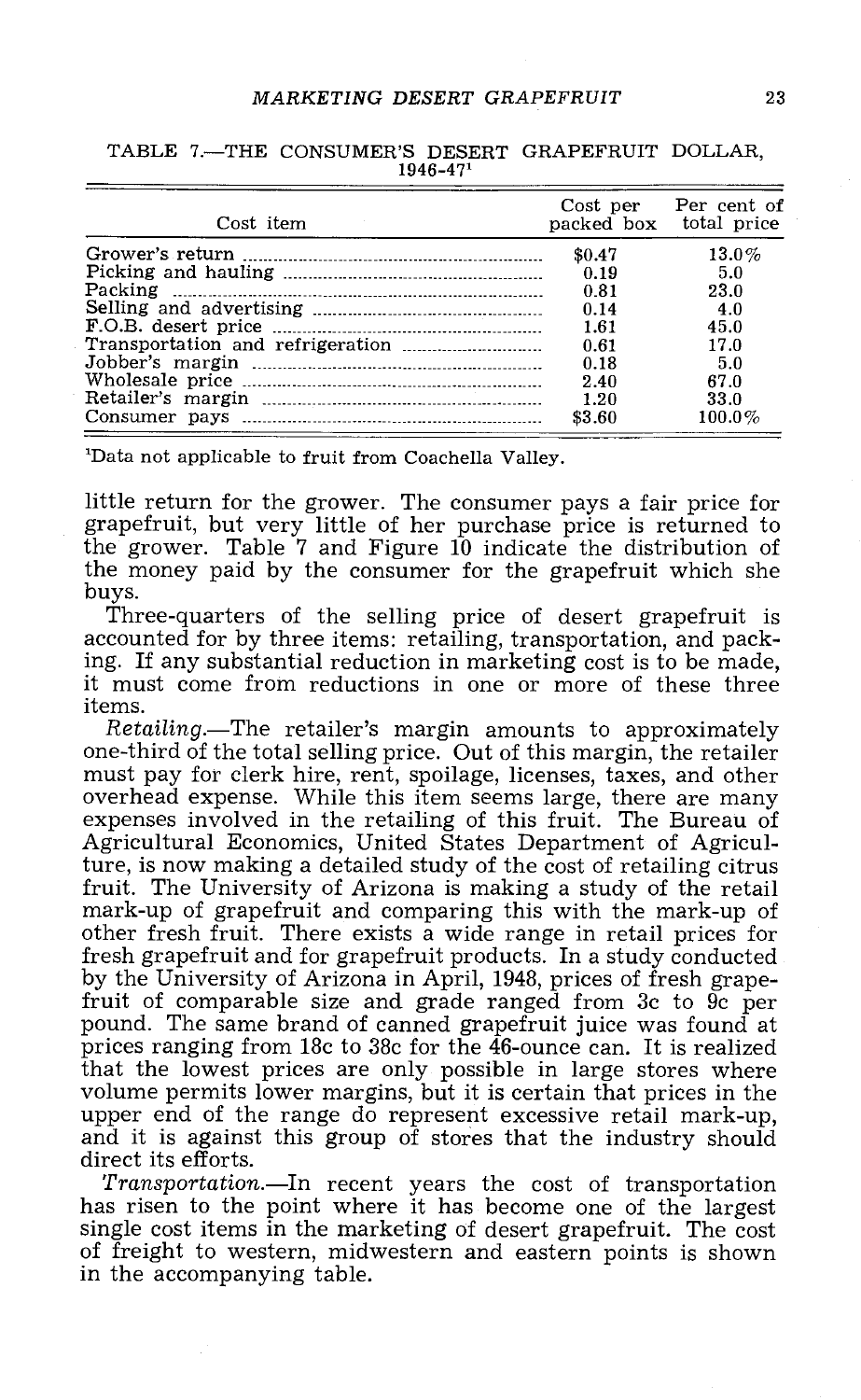## MARKETING DESERT GRAPEFRUIT 23

| Cost item | packed box total price | Cost per Per cent of |
|-----------|------------------------|----------------------|
|           | \$0.47                 | $13.0\%$             |
|           | 0.19                   | 5.0                  |
|           | 0.81                   | 23.0                 |
|           | 0.14                   | 4.0                  |
|           | 1.61                   | 45.0                 |
|           | 0.61                   | 17.0                 |
|           | 0.18                   | 5.0                  |
|           | 2.40                   | 67.0                 |
|           | 1.20                   | 33.0                 |
|           | \$3.60                 | $100.0\%$            |

TABLE 7.-THE CONSUMER'S DESERT GRAPEFRUIT DOLLAR, 1946 -471

'Data not applicable to fruit from Coachella Valley.

little return for the grower. The consumer pays a fair price for grapefruit, but very little of her purchase price is returned to the grower. Table 7 and Figure 10 indicate the distribution of the money paid by the consumer for the grapefruit which she

Three-quarters of the selling price of desert grapefruit is accounted for by three items: retailing, transportation, and pack-<br>ing. If any substantial reduction in marketing cost is to be made. it must come from reductions in one or more of these three items.

Retailing.—The retailer's margin amounts to approximately one-third of the total selling price. Out of this margin, the retailer must pay for clerk hire, rent, spoilage, licenses, taxes, and other overhead expense. While this item seems large, there are many expenses involved in the retailing of this fruit. The Bureau of Agricultural Economics, United States Department of Agriculture, is now making a detailed study of the cost of retailing citrus fruit. The University of Arizona is making a study of the retail mark -up of grapefruit and comparing this with the mark -up of other fresh fruit. There exists a wide range in retail prices for fresh grapefruit and for grapefruit products. In a study conducted by the University of Arizona in April, 1948, prices of fresh grape-<br>fruit of comparable size and grade ranged from 3c to 9c per<br>pound. The same brand of canned grapefruit juice was found at<br>prices ranging from 18c to 38c f that the lowest prices are only possible in large stores where<br>volume permits lower margins, but it is certain that prices in the<br>upper end of the range do represent excessive retail mark-up,<br>and it is against this group o direct its efforts.

Transportation.—In recent years the cost of transportation has risen to the point where it has become one of the largest single cost items in the marketing of desert grapefruit. The cost<br>of freight to western, midwestern and eastern points is shown in the accompanying table.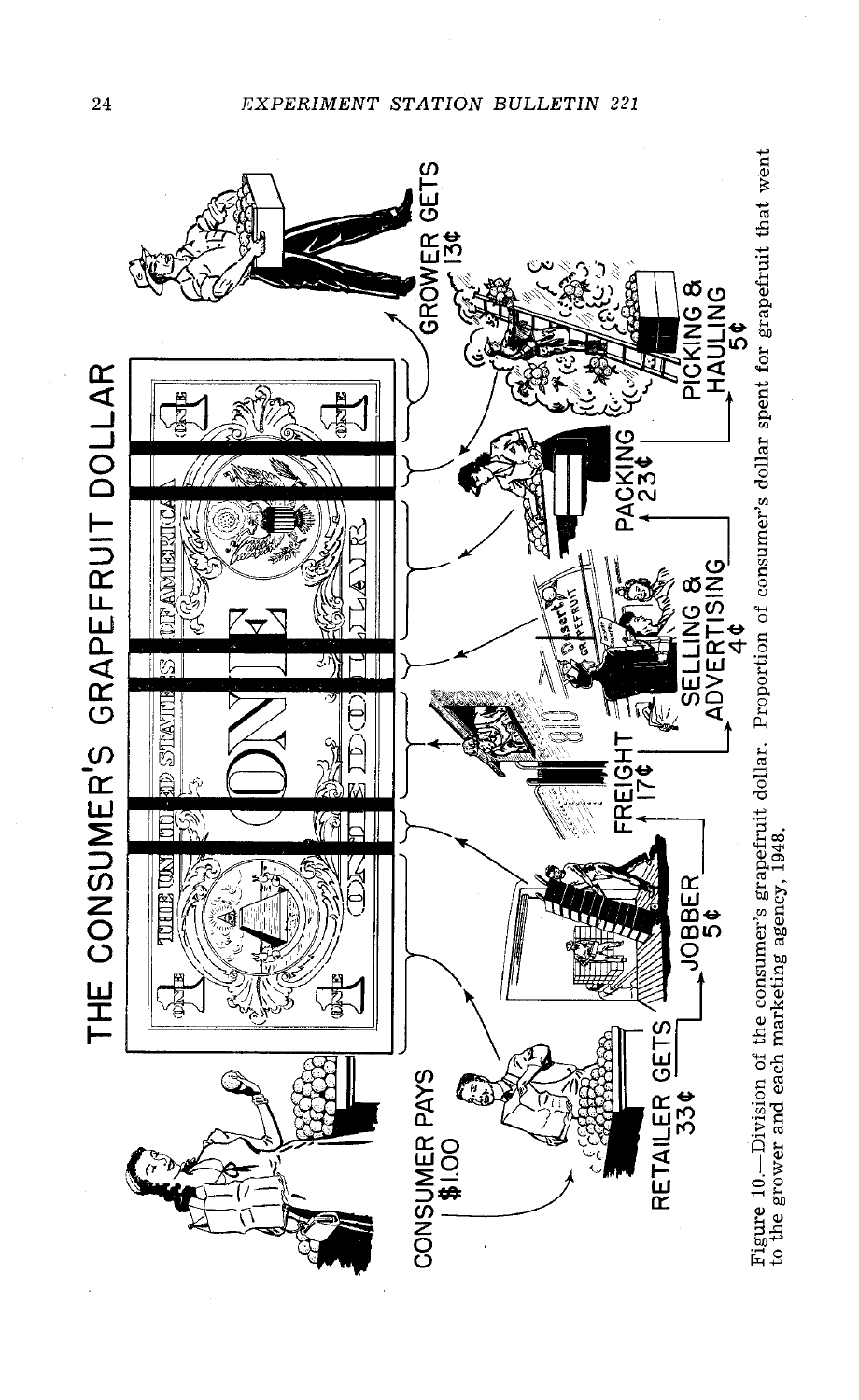

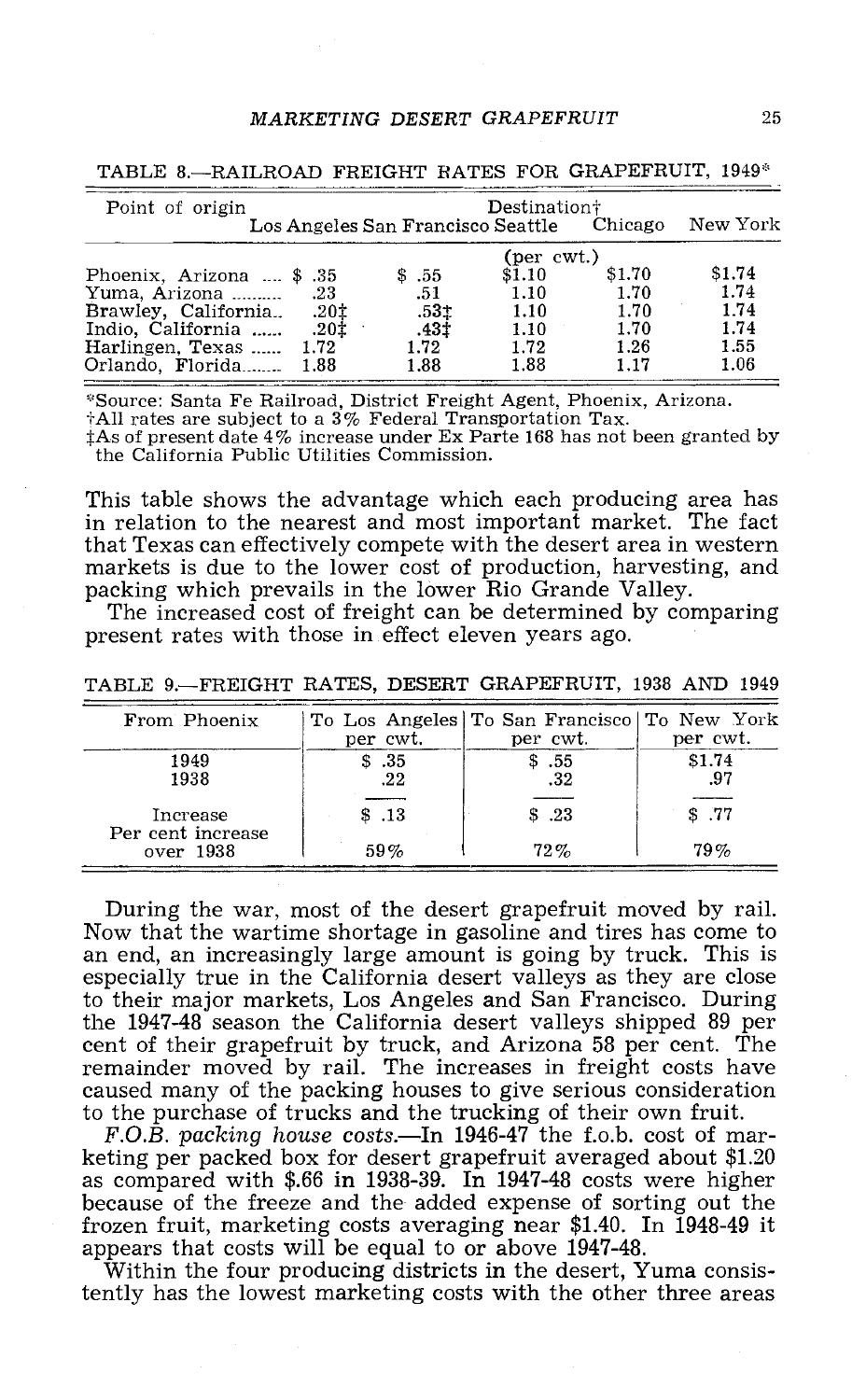# MARKETING DESERT GRAPEFRUIT 25

| Point of origin                 | Destination+                                       |        |        |        |  |
|---------------------------------|----------------------------------------------------|--------|--------|--------|--|
|                                 | Los Angeles San Francisco Seattle Chicago New York |        |        |        |  |
|                                 | (per $\text{cwt}$ .)                               |        |        |        |  |
| Phoenix, Arizona  \$ .35        | \$.55                                              | \$1.10 | \$1.70 | \$1.74 |  |
|                                 | .51                                                | 1.10   | 1.70   | 1.74   |  |
| <b>Brawley, California</b> .201 | .53t                                               | 1.10   | 1.70   | 1.74   |  |
| 104. Indio, California  .20     | .43‡                                               | 1.10   | 1.70   | 1.74   |  |
| Harlingen, Texas  1.72          | 1.72                                               | 1.72   | 1.26   | 1.55   |  |
| Orlando, Florida 1.88           | 1.88                                               | 1.88   | 1.17   | 1.06   |  |

TABLE 8.-RAILROAD FREIGHT RATES FOR GRAPEFRUIT, 1949\*

\*Source: Santa Fe Railroad, District Freight Agent, Phoenix, Arizona.<br>†All rates are subject to a 3% Federal Transportation Tax.<br>†As of present date 4% increase under Ex Parte 168 has not been granted by

the California Public Utilities Commission.

This table shows the advantage which each producing area has in relation to the nearest and most important market. The fact that Texas can effectively compete with the desert area in western markets is due to the lower cost of production, harvesting, and

packing which prevails in the lower Rio Grande Valley. The increased cost of freight can be determined by comparing present rates with those in effect eleven years ago.

TABLE 9.- FREIGHT RATES, DESERT GRAPEFRUIT, 1938 AND 1949

| From Phoenix                  | per cwt.    | To Los Angeles To San Francisco To New York<br>per cwt. | per cwt.      |
|-------------------------------|-------------|---------------------------------------------------------|---------------|
| 1949<br>1938                  | \$35<br>.22 | \$.55<br>.32                                            | \$1.74<br>.97 |
| Increase<br>Per cent increase | \$.13       | \$.23                                                   | \$77          |
| over 1938                     | 59%         | $72\%$                                                  | 79%           |

During the war, most of the desert grapefruit moved by rail. Now that the wartime shortage in gasoline and tires has come to an end, an increasingly large amount is going by truck. This is especially true in the California desert valleys as they are close to their major markets, Los Angeles and San Francisco. During<br>the 1947-48 season the California desert valleys shipped 89 per the 1947-48 season the California desert valleys shipped 89 per<br>cent of their grapefruit by truck, and Arizona 58 per cent. The remainder moved by rail. The increases in freight costs have caused many of the packing houses to give serious consideration<br>to the purchase of trucks and the trucking of their own fruit.

F.O.B. packing house costs. -In 1946-47 the f.o.b. cost of mar-<br>keting per packed box for desert grapefruit averaged about \$1.20<br>as compared with \$.66 in 1938-39. In 1947-48 costs were higher because of the freeze and the added expense of sorting out the frozen fruit, marketing costs averaging near \$1.40. In 1948-49 it appears that costs will be equal to or above 1947-48.<br>Within the four producing districts in the desert, Yuma consis-

tently has the lowest marketing costs with the other three areas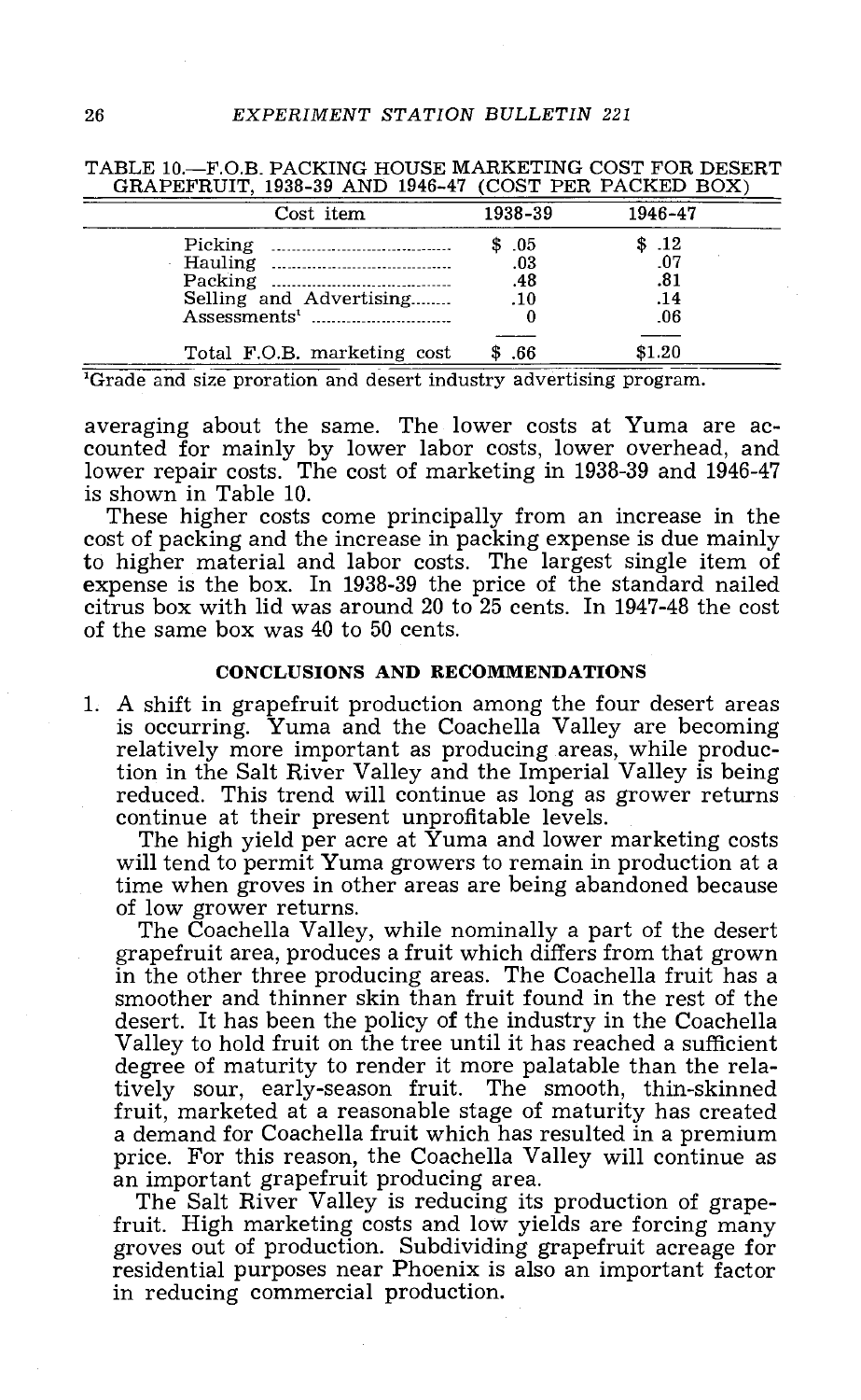| Cost item                                                      | 1938-39                   | 1946-47                           |
|----------------------------------------------------------------|---------------------------|-----------------------------------|
| Packing<br>Selling and Advertising<br>Assessments <sup>1</sup> | \$05<br>.03<br>.48<br>.10 | \$.12<br>.07<br>.81<br>.14<br>.06 |
| Total F.O.B. marketing cost                                    | .66                       | \$1.20                            |

TABLE 10.- F.O.B. PACKING HOUSE MARKETING COST FOR DESERT GRAPEFRUIT, 1938 -39 AND 1946 -47 (COST PER PACKED BOX)

'Grade and size proration and desert industry advertising program.

averaging about the same. The lower costs at Yuma are ac- counted for mainly by lower labor costs, lower overhead, and lower repair costs. The cost of marketing in 1938-39 and 1946-47 is shown in Table 10.

These higher costs come principally from an increase in the cost of packing and the increase in packing expense is due mainly to higher material and labor costs. The largest single item of expense is the box. In 1938 -39 the price of the standard nailed citrus box with lid was around 20 to 25 cents. In 1947 -48 the cost of the same box was 40 to 50 cents.

## CONCLUSIONS AND RECOMMENDATIONS

1. A shift in grapefruit production among the four desert areas is occurring. Yuma and the Coachella Valley are becoming relatively more important as producing areas, while production in the Salt River Valley and the Imperial Valley is being

reduced. This trend will continue as long as grower returns<br>continue at their present unprofitable levels.<br>The high yield per acre at Yuma and lower marketing costs<br>will tend to permit Yuma growers to remain in production

of low grower returns.<br>The Coachella Valley, while nominally a part of the desert<br>grapefruit area, produces a fruit which differs from that grown in the other three producing areas. The Coachella fruit has a smoother and thinner skin than fruit found in the rest of the desert. It has been the policy of the industry in the Coachella<br>Valley to hold fruit on the tree until it has reached a sufficient<br>degree of maturity to render it more palatable than the relatively sour, early-season fruit. The smooth, thin-skinned fruit, marketed at a reasonable stage of maturity has created a demand for Coachella fruit which has resulted in a premium price. For this reason, the Coachella Valley will continue as an important grapefruit producing area.<br>The Salt River Valley is reducing its production of grape-

fruit. High marketing costs and low yields are forcing many groves out of production. Subdividing grapefruit acreage for residential purposes near Phoenix is also an important factor in reducing commercial production.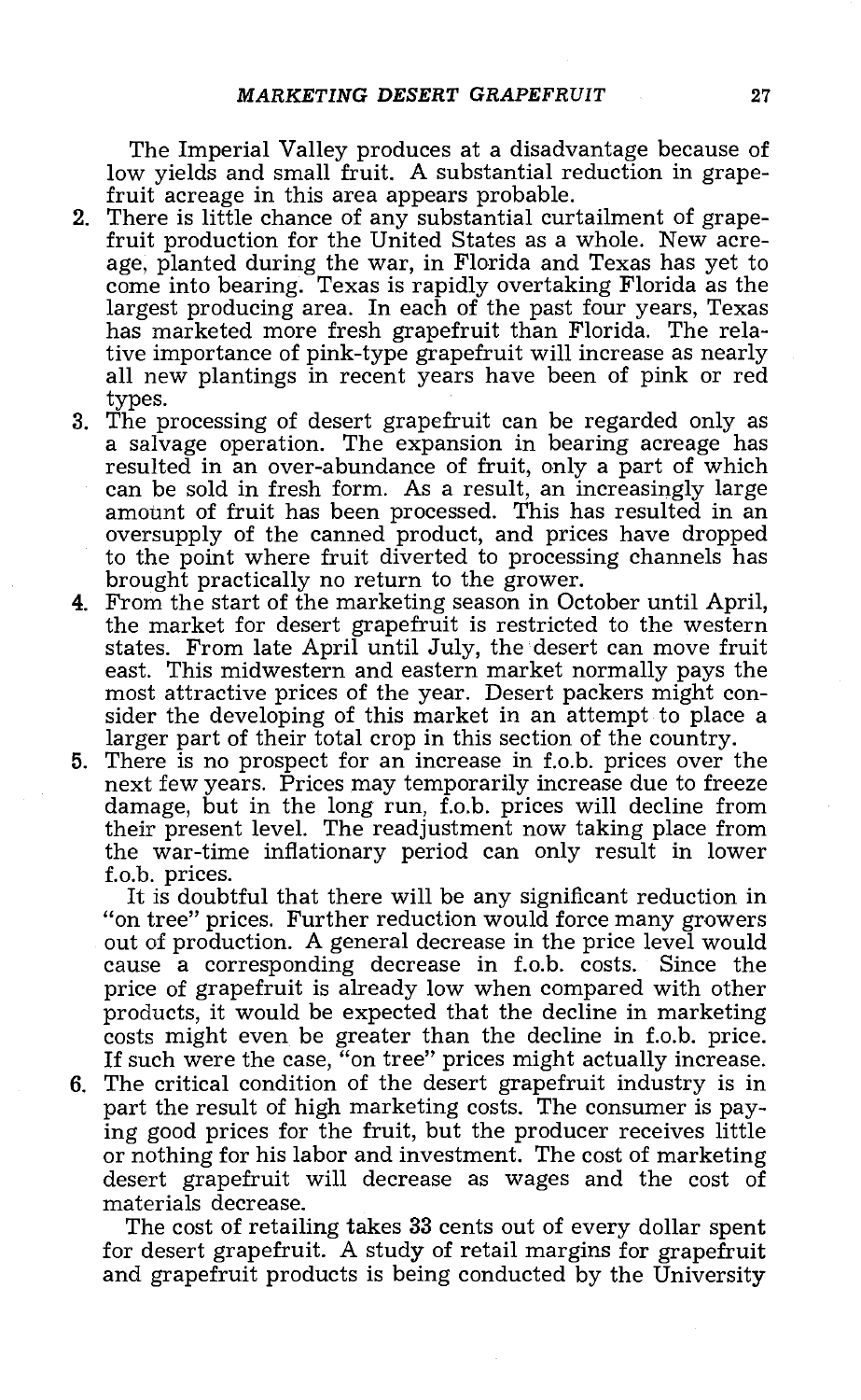The Imperial Valley produces at a disadvantage because of low yields and small fruit. A substantial reduction in grape-<br>fruit acreage in this area appears probable.

- 2. There is little chance of any substantial curtailment of grape-<br>fruit production for the United States as a whole. New acre-<br>age, planted during the war, in Florida and Texas has yet to come into bearing. Texas is rapidly overtaking Florida as the largest producing area. In each of the past four years, Texas has marketed more fresh grapefruit than Florida. The relative importance of pink -type grapefruit will increase as nearly all new plantings in recent years have been of pink or red types.
- 3. The processing of desert grapefruit can be regarded only as a salvage operation. The expansion in bearing acreage has resulted in an over-abundance of fruit, only a part of which can be sold in fresh form. As a result, an increasingly large amount of fruit has been processed. This has resulted in an oversupply of the canned product, and prices have dropped
- brought practically no return to the grower.<br> **4.** From the start of the marketing season in October until April,<br>
the market for desert grapefruit is restricted to the western<br>
states. From late April until July, the dese east. This midwestern and eastern market normally pays the most attractive prices of the year. Desert packers might consider the developing of this market in an attempt to place a larger part of their total crop in this se
- 5. There is no prospect for an increase in f.o.b. prices over the next few years. Prices may temporarily increase due to freeze damage, but in the long run, f.o.b. prices will decline from their present level. The readjustment now taking place from the war-time inflationary period can only result in lower<br>f.o.b. prices.

It is doubtful that there will be any significant reduction in "on tree" prices. Further reduction would force many growers out of production. A general decrease in the price level would cause a corresponding decrease in f.o.b. costs. price of grapefruit is already low when compared with other<br>products, it would be expected that the decline in marketing<br>costs might even be greater than the decline in f.o.b. price.

If such were the case, "on tree" prices might actually increase.<br>6. The critical condition of the desert grapefruit industry is in part the result of high marketing costs. The consumer is paying good prices for the fruit, but the producer receives little or nothing for his labor and investment. The cost of marketing desert grapefruit will decrease as wages and the cost of materials decrease.

for desert grapefruit.  $\overline{A}$  study of retail margins for grapefruit and grapefruit products is being conducted by the University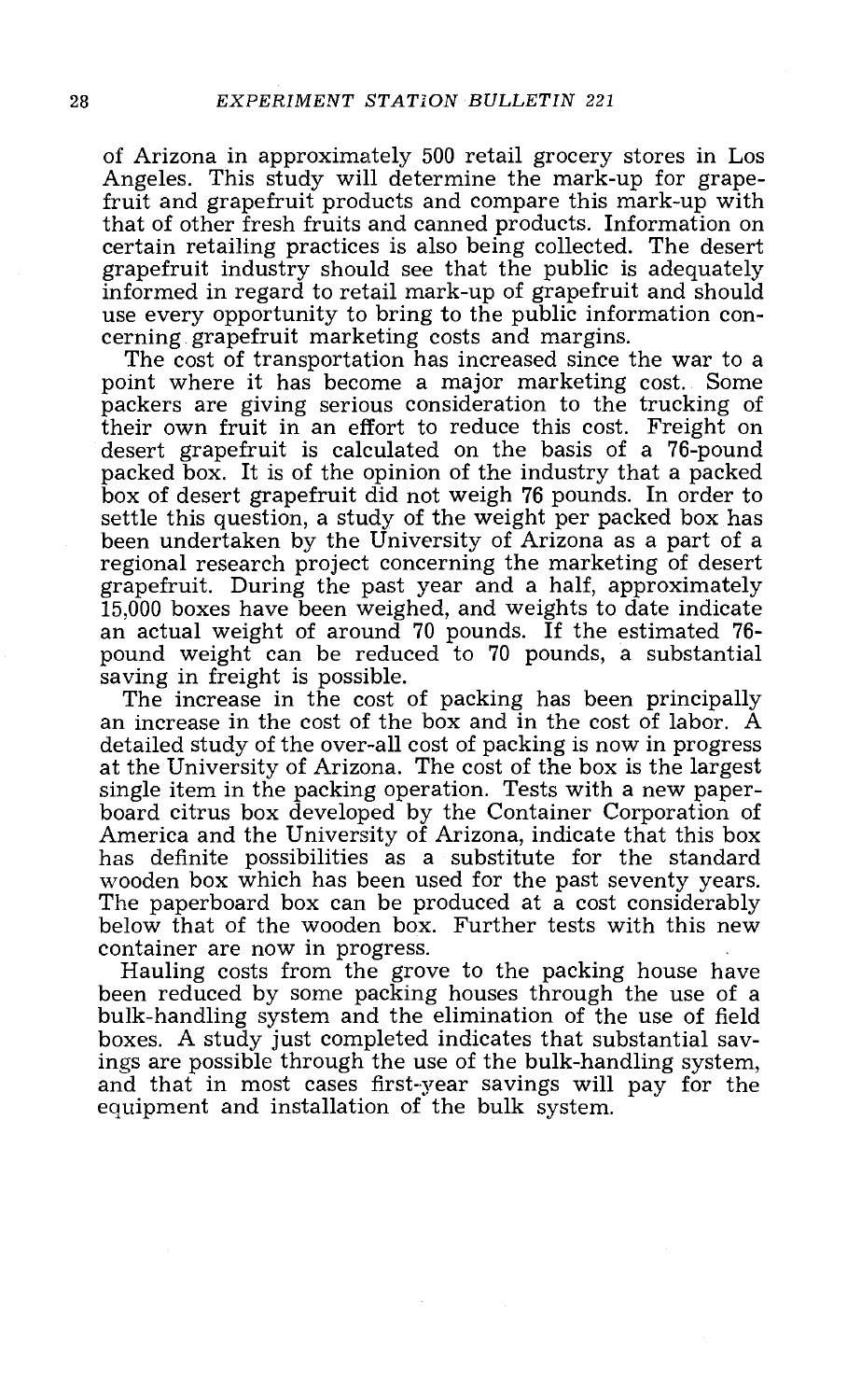of Arizona in approximately 500 retail grocery stores in Los Angeles. This study will determine the mark -up for grapefruit and grapefruit products and compare this mark -up with that of other fresh fruits and canned products. Information on certain retailing practices is also being collected. The desert grapefruit industry should see that the public is adequately

use every opportunity to bring to the public information concerning grapefruit marketing costs and margins.<br>The cost of transportation has increased since the war to a<br>point where it has become a major marketing cost. Some their own fruit in an effort to reduce this cost. Freight on desert grapefruit is calculated on the basis of a 76-pound packed box. It is of the opinion of the industry that a packed box of desert grapefruit did not weigh 76 pounds. In order to been undertaken by the University of Arizona as a part of a regional research project concerning the marketing of desert grapefruit. During the past year and a half, approximately<br>15,000 boxes have been weighed, and weights to date indicate an actual weight of around 70 pounds. If the estimated 76-<br>pound weight can be reduced to 70 pounds, a substantial<br>saving in freight is possible.

The increase in the cost of packing has been principally an increase in the cost of the box and in the cost of labor. A detailed study of the over-all cost of packing is now in progress at the University of Arizona. The cost of the box is the largest<br>single item in the packing operation. Tests with a new paper-<br>board citrus box developed by the Container Corporation of<br>America and the University of Arizon

Hauling costs from the grove to the packing house have been reduced by some packing houses through the use of a<br>bulk-handling system and the elimination of the use of field boxes. A study just completed indicates that substantial savand that in most cases first-year savings will pay for the equipment and installation of the bulk system.